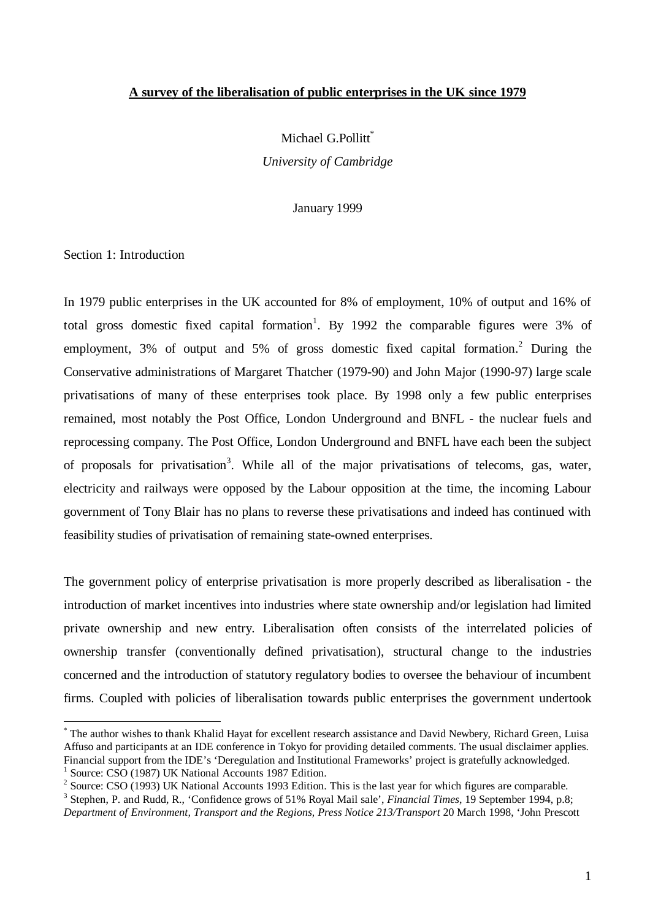# **A survey of the liberalisation of public enterprises in the UK since 1979**

Michael G.Pollitt<sup>\*</sup> *University of Cambridge*

January 1999

Section 1: Introduction

l

In 1979 public enterprises in the UK accounted for 8% of employment, 10% of output and 16% of total gross domestic fixed capital formation<sup>1</sup>. By 1992 the comparable figures were 3% of employment,  $3\%$  of output and  $5\%$  of gross domestic fixed capital formation.<sup>2</sup> During the Conservative administrations of Margaret Thatcher (1979-90) and John Major (1990-97) large scale privatisations of many of these enterprises took place. By 1998 only a few public enterprises remained, most notably the Post Office, London Underground and BNFL - the nuclear fuels and reprocessing company. The Post Office, London Underground and BNFL have each been the subject of proposals for privatisation<sup>3</sup>. While all of the major privatisations of telecoms, gas, water, electricity and railways were opposed by the Labour opposition at the time, the incoming Labour government of Tony Blair has no plans to reverse these privatisations and indeed has continued with feasibility studies of privatisation of remaining state-owned enterprises.

The government policy of enterprise privatisation is more properly described as liberalisation - the introduction of market incentives into industries where state ownership and/or legislation had limited private ownership and new entry. Liberalisation often consists of the interrelated policies of ownership transfer (conventionally defined privatisation), structural change to the industries concerned and the introduction of statutory regulatory bodies to oversee the behaviour of incumbent firms. Coupled with policies of liberalisation towards public enterprises the government undertook

<sup>\*</sup> The author wishes to thank Khalid Hayat for excellent research assistance and David Newbery, Richard Green, Luisa Affuso and participants at an IDE conference in Tokyo for providing detailed comments. The usual disclaimer applies. Financial support from the IDE's 'Deregulation and Institutional Frameworks' project is gratefully acknowledged. <sup>1</sup> Source: CSO (1987) UK National Accounts 1987 Edition.

<sup>&</sup>lt;sup>2</sup> Source: CSO (1993) UK National Accounts 1993 Edition. This is the last year for which figures are comparable.

<sup>3</sup> Stephen, P. and Rudd, R., 'Confidence grows of 51% Royal Mail sale', *Financial Times*, 19 September 1994, p.8;

*Department of Environment, Transport and the Regions, Press Notice 213/Transport* 20 March 1998, 'John Prescott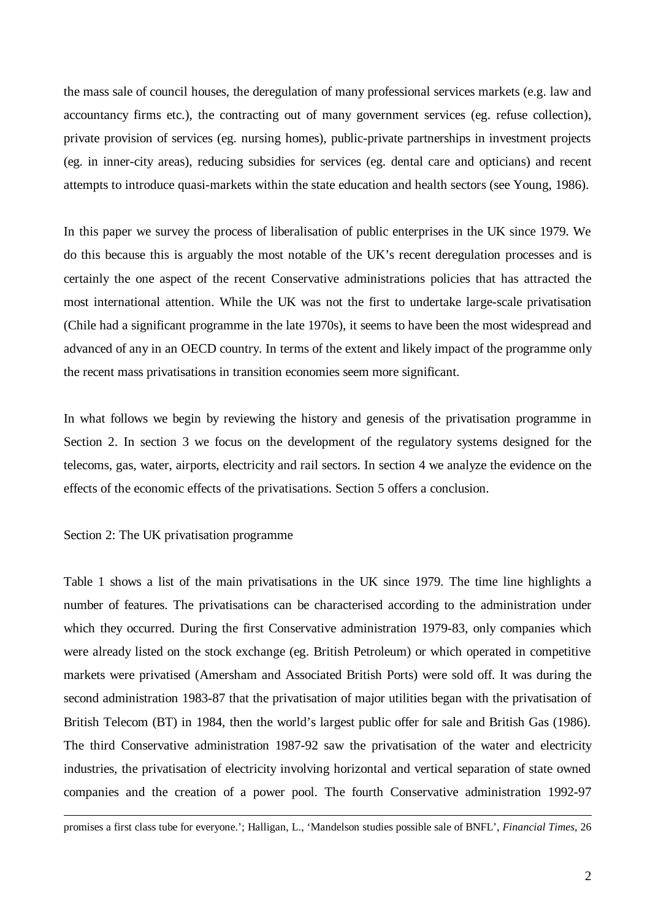the mass sale of council houses, the deregulation of many professional services markets (e.g. law and accountancy firms etc.), the contracting out of many government services (eg. refuse collection), private provision of services (eg. nursing homes), public-private partnerships in investment projects (eg. in inner-city areas), reducing subsidies for services (eg. dental care and opticians) and recent attempts to introduce quasi-markets within the state education and health sectors (see Young, 1986).

In this paper we survey the process of liberalisation of public enterprises in the UK since 1979. We do this because this is arguably the most notable of the UK's recent deregulation processes and is certainly the one aspect of the recent Conservative administrations policies that has attracted the most international attention. While the UK was not the first to undertake large-scale privatisation (Chile had a significant programme in the late 1970s), it seems to have been the most widespread and advanced of any in an OECD country. In terms of the extent and likely impact of the programme only the recent mass privatisations in transition economies seem more significant.

In what follows we begin by reviewing the history and genesis of the privatisation programme in Section 2. In section 3 we focus on the development of the regulatory systems designed for the telecoms, gas, water, airports, electricity and rail sectors. In section 4 we analyze the evidence on the effects of the economic effects of the privatisations. Section 5 offers a conclusion.

Section 2: The UK privatisation programme

l

Table 1 shows a list of the main privatisations in the UK since 1979. The time line highlights a number of features. The privatisations can be characterised according to the administration under which they occurred. During the first Conservative administration 1979-83, only companies which were already listed on the stock exchange (eg. British Petroleum) or which operated in competitive markets were privatised (Amersham and Associated British Ports) were sold off. It was during the second administration 1983-87 that the privatisation of major utilities began with the privatisation of British Telecom (BT) in 1984, then the world's largest public offer for sale and British Gas (1986). The third Conservative administration 1987-92 saw the privatisation of the water and electricity industries, the privatisation of electricity involving horizontal and vertical separation of state owned companies and the creation of a power pool. The fourth Conservative administration 1992-97

promises a first class tube for everyone.'; Halligan, L., 'Mandelson studies possible sale of BNFL', *Financial Times*, 26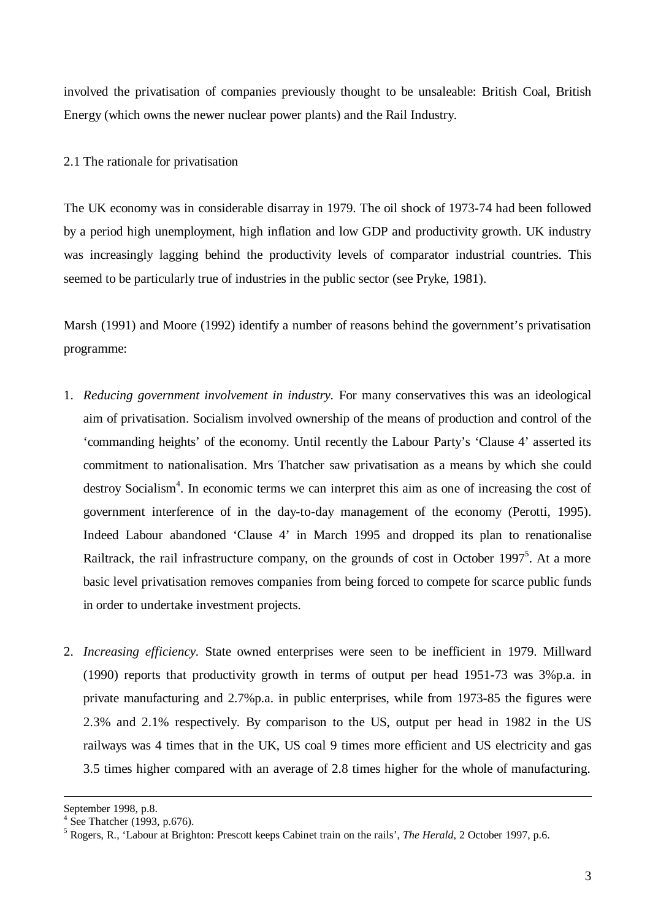involved the privatisation of companies previously thought to be unsaleable: British Coal, British Energy (which owns the newer nuclear power plants) and the Rail Industry.

# 2.1 The rationale for privatisation

The UK economy was in considerable disarray in 1979. The oil shock of 1973-74 had been followed by a period high unemployment, high inflation and low GDP and productivity growth. UK industry was increasingly lagging behind the productivity levels of comparator industrial countries. This seemed to be particularly true of industries in the public sector (see Pryke, 1981).

Marsh (1991) and Moore (1992) identify a number of reasons behind the government's privatisation programme:

- 1. *Reducing government involvement in industry.* For many conservatives this was an ideological aim of privatisation. Socialism involved ownership of the means of production and control of the 'commanding heights' of the economy. Until recently the Labour Party's 'Clause 4' asserted its commitment to nationalisation. Mrs Thatcher saw privatisation as a means by which she could destroy Socialism<sup>4</sup>. In economic terms we can interpret this aim as one of increasing the cost of government interference of in the day-to-day management of the economy (Perotti, 1995). Indeed Labour abandoned 'Clause 4' in March 1995 and dropped its plan to renationalise Railtrack, the rail infrastructure company, on the grounds of cost in October 1997<sup>5</sup>. At a more basic level privatisation removes companies from being forced to compete for scarce public funds in order to undertake investment projects.
- 2. *Increasing efficiency.* State owned enterprises were seen to be inefficient in 1979. Millward (1990) reports that productivity growth in terms of output per head 1951-73 was 3%p.a. in private manufacturing and 2.7%p.a. in public enterprises, while from 1973-85 the figures were 2.3% and 2.1% respectively. By comparison to the US, output per head in 1982 in the US railways was 4 times that in the UK, US coal 9 times more efficient and US electricity and gas 3.5 times higher compared with an average of 2.8 times higher for the whole of manufacturing.

September 1998, p.8.

<sup>4</sup> See Thatcher (1993, p.676).

<sup>5</sup> Rogers, R., 'Labour at Brighton: Prescott keeps Cabinet train on the rails', *The Herald*, 2 October 1997, p.6.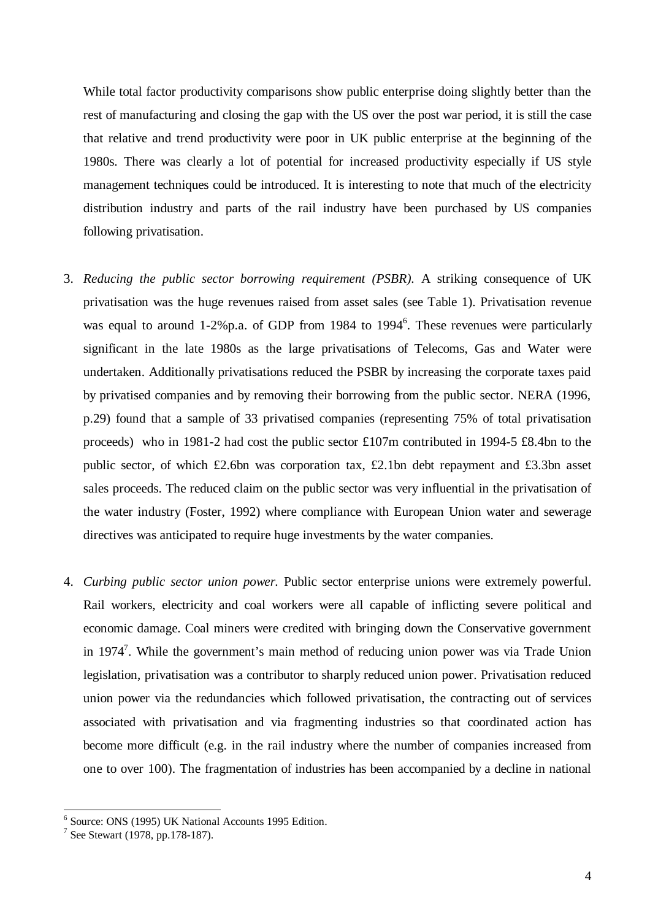While total factor productivity comparisons show public enterprise doing slightly better than the rest of manufacturing and closing the gap with the US over the post war period, it is still the case that relative and trend productivity were poor in UK public enterprise at the beginning of the 1980s. There was clearly a lot of potential for increased productivity especially if US style management techniques could be introduced. It is interesting to note that much of the electricity distribution industry and parts of the rail industry have been purchased by US companies following privatisation.

- 3. *Reducing the public sector borrowing requirement (PSBR).* A striking consequence of UK privatisation was the huge revenues raised from asset sales (see Table 1). Privatisation revenue was equal to around 1-2%p.a. of GDP from 1984 to 1994<sup>6</sup>. These revenues were particularly significant in the late 1980s as the large privatisations of Telecoms, Gas and Water were undertaken. Additionally privatisations reduced the PSBR by increasing the corporate taxes paid by privatised companies and by removing their borrowing from the public sector. NERA (1996, p.29) found that a sample of 33 privatised companies (representing 75% of total privatisation proceeds) who in 1981-2 had cost the public sector £107m contributed in 1994-5 £8.4bn to the public sector, of which £2.6bn was corporation tax, £2.1bn debt repayment and £3.3bn asset sales proceeds. The reduced claim on the public sector was very influential in the privatisation of the water industry (Foster, 1992) where compliance with European Union water and sewerage directives was anticipated to require huge investments by the water companies.
- 4. *Curbing public sector union power.* Public sector enterprise unions were extremely powerful. Rail workers, electricity and coal workers were all capable of inflicting severe political and economic damage. Coal miners were credited with bringing down the Conservative government in 1974<sup>7</sup>. While the government's main method of reducing union power was via Trade Union legislation, privatisation was a contributor to sharply reduced union power. Privatisation reduced union power via the redundancies which followed privatisation, the contracting out of services associated with privatisation and via fragmenting industries so that coordinated action has become more difficult (e.g. in the rail industry where the number of companies increased from one to over 100). The fragmentation of industries has been accompanied by a decline in national

<sup>6</sup> Source: ONS (1995) UK National Accounts 1995 Edition.

<sup>&</sup>lt;sup>7</sup> See Stewart (1978, pp.178-187).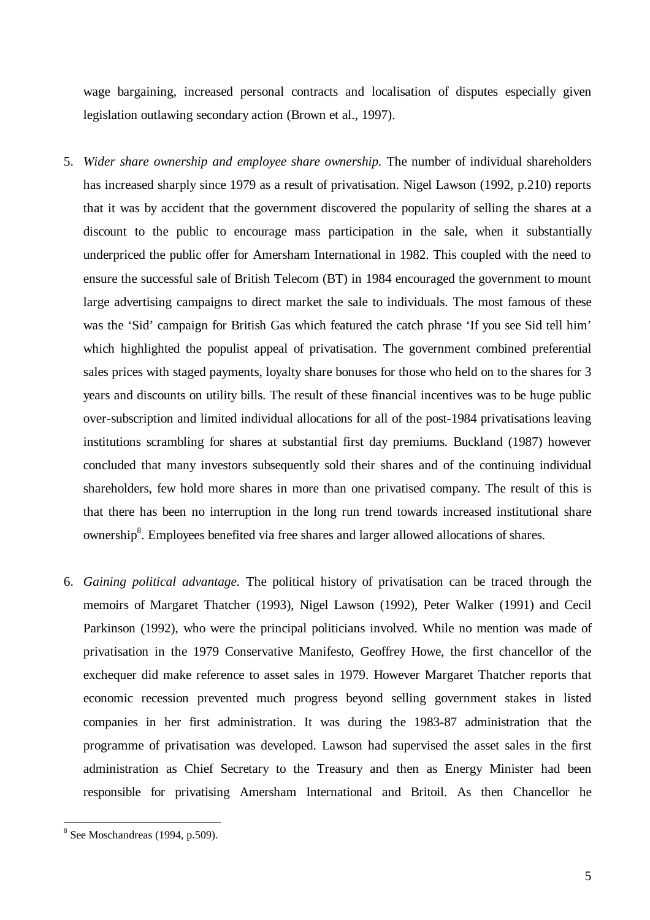wage bargaining, increased personal contracts and localisation of disputes especially given legislation outlawing secondary action (Brown et al., 1997).

- 5. *Wider share ownership and employee share ownership.* The number of individual shareholders has increased sharply since 1979 as a result of privatisation. Nigel Lawson (1992, p.210) reports that it was by accident that the government discovered the popularity of selling the shares at a discount to the public to encourage mass participation in the sale, when it substantially underpriced the public offer for Amersham International in 1982. This coupled with the need to ensure the successful sale of British Telecom (BT) in 1984 encouraged the government to mount large advertising campaigns to direct market the sale to individuals. The most famous of these was the 'Sid' campaign for British Gas which featured the catch phrase 'If you see Sid tell him' which highlighted the populist appeal of privatisation. The government combined preferential sales prices with staged payments, loyalty share bonuses for those who held on to the shares for 3 years and discounts on utility bills. The result of these financial incentives was to be huge public over-subscription and limited individual allocations for all of the post-1984 privatisations leaving institutions scrambling for shares at substantial first day premiums. Buckland (1987) however concluded that many investors subsequently sold their shares and of the continuing individual shareholders, few hold more shares in more than one privatised company. The result of this is that there has been no interruption in the long run trend towards increased institutional share ownership<sup>8</sup>. Employees benefited via free shares and larger allowed allocations of shares.
- 6. *Gaining political advantage.* The political history of privatisation can be traced through the memoirs of Margaret Thatcher (1993), Nigel Lawson (1992), Peter Walker (1991) and Cecil Parkinson (1992), who were the principal politicians involved. While no mention was made of privatisation in the 1979 Conservative Manifesto, Geoffrey Howe, the first chancellor of the exchequer did make reference to asset sales in 1979. However Margaret Thatcher reports that economic recession prevented much progress beyond selling government stakes in listed companies in her first administration. It was during the 1983-87 administration that the programme of privatisation was developed. Lawson had supervised the asset sales in the first administration as Chief Secretary to the Treasury and then as Energy Minister had been responsible for privatising Amersham International and Britoil. As then Chancellor he

<sup>&</sup>lt;sup>8</sup> See Moschandreas (1994, p.509).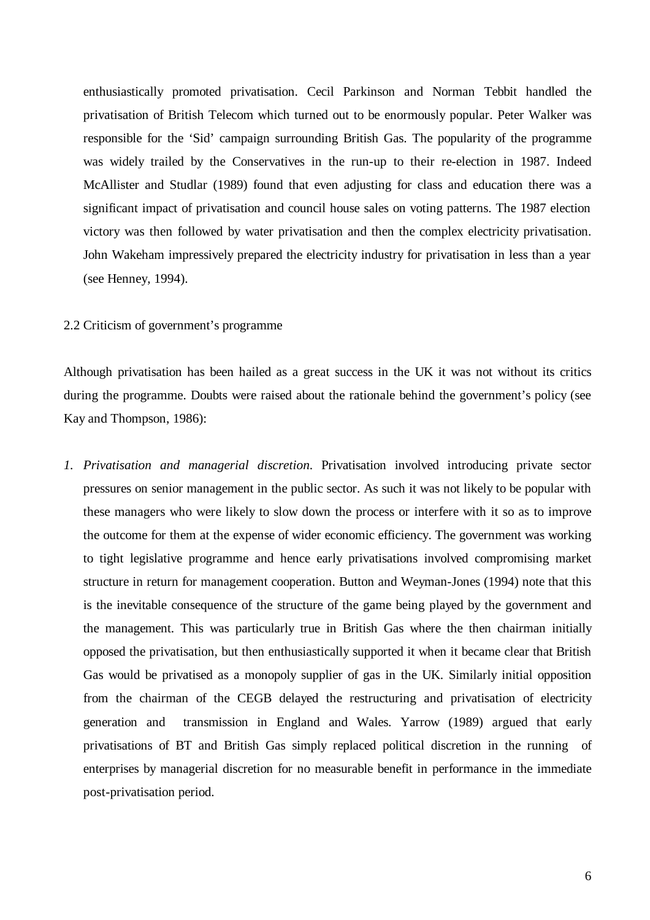enthusiastically promoted privatisation. Cecil Parkinson and Norman Tebbit handled the privatisation of British Telecom which turned out to be enormously popular. Peter Walker was responsible for the 'Sid' campaign surrounding British Gas. The popularity of the programme was widely trailed by the Conservatives in the run-up to their re-election in 1987. Indeed McAllister and Studlar (1989) found that even adjusting for class and education there was a significant impact of privatisation and council house sales on voting patterns. The 1987 election victory was then followed by water privatisation and then the complex electricity privatisation. John Wakeham impressively prepared the electricity industry for privatisation in less than a year (see Henney, 1994).

## 2.2 Criticism of government's programme

Although privatisation has been hailed as a great success in the UK it was not without its critics during the programme. Doubts were raised about the rationale behind the government's policy (see Kay and Thompson, 1986):

*1. Privatisation and managerial discretion*. Privatisation involved introducing private sector pressures on senior management in the public sector. As such it was not likely to be popular with these managers who were likely to slow down the process or interfere with it so as to improve the outcome for them at the expense of wider economic efficiency. The government was working to tight legislative programme and hence early privatisations involved compromising market structure in return for management cooperation. Button and Weyman-Jones (1994) note that this is the inevitable consequence of the structure of the game being played by the government and the management. This was particularly true in British Gas where the then chairman initially opposed the privatisation, but then enthusiastically supported it when it became clear that British Gas would be privatised as a monopoly supplier of gas in the UK. Similarly initial opposition from the chairman of the CEGB delayed the restructuring and privatisation of electricity generation and transmission in England and Wales. Yarrow (1989) argued that early privatisations of BT and British Gas simply replaced political discretion in the running of enterprises by managerial discretion for no measurable benefit in performance in the immediate post-privatisation period.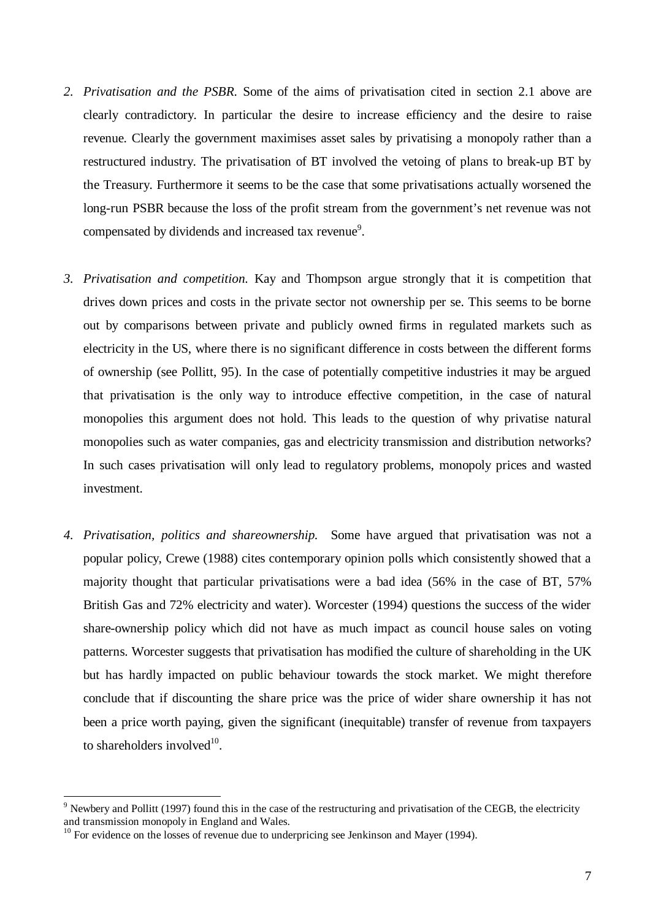- *2. Privatisation and the PSBR.* Some of the aims of privatisation cited in section 2.1 above are clearly contradictory. In particular the desire to increase efficiency and the desire to raise revenue. Clearly the government maximises asset sales by privatising a monopoly rather than a restructured industry. The privatisation of BT involved the vetoing of plans to break-up BT by the Treasury. Furthermore it seems to be the case that some privatisations actually worsened the long-run PSBR because the loss of the profit stream from the government's net revenue was not compensated by dividends and increased tax revenue<sup>9</sup>.
- *3. Privatisation and competition.* Kay and Thompson argue strongly that it is competition that drives down prices and costs in the private sector not ownership per se. This seems to be borne out by comparisons between private and publicly owned firms in regulated markets such as electricity in the US, where there is no significant difference in costs between the different forms of ownership (see Pollitt, 95). In the case of potentially competitive industries it may be argued that privatisation is the only way to introduce effective competition, in the case of natural monopolies this argument does not hold. This leads to the question of why privatise natural monopolies such as water companies, gas and electricity transmission and distribution networks? In such cases privatisation will only lead to regulatory problems, monopoly prices and wasted investment.
- *4. Privatisation, politics and shareownership.* Some have argued that privatisation was not a popular policy, Crewe (1988) cites contemporary opinion polls which consistently showed that a majority thought that particular privatisations were a bad idea (56% in the case of BT, 57% British Gas and 72% electricity and water). Worcester (1994) questions the success of the wider share-ownership policy which did not have as much impact as council house sales on voting patterns. Worcester suggests that privatisation has modified the culture of shareholding in the UK but has hardly impacted on public behaviour towards the stock market. We might therefore conclude that if discounting the share price was the price of wider share ownership it has not been a price worth paying, given the significant (inequitable) transfer of revenue from taxpayers to shareholders involved $10$ .

 $9$  Newbery and Pollitt (1997) found this in the case of the restructuring and privatisation of the CEGB, the electricity and transmission monopoly in England and Wales.

 $10$  For evidence on the losses of revenue due to underpricing see Jenkinson and Mayer (1994).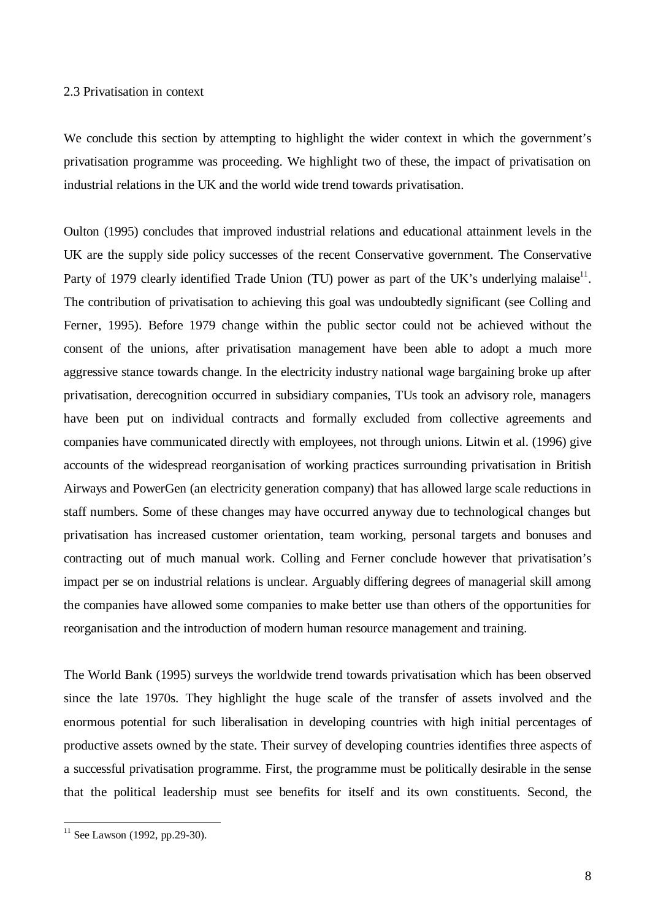#### 2.3 Privatisation in context

We conclude this section by attempting to highlight the wider context in which the government's privatisation programme was proceeding. We highlight two of these, the impact of privatisation on industrial relations in the UK and the world wide trend towards privatisation.

Oulton (1995) concludes that improved industrial relations and educational attainment levels in the UK are the supply side policy successes of the recent Conservative government. The Conservative Party of 1979 clearly identified Trade Union (TU) power as part of the UK's underlying malaise<sup>11</sup>. The contribution of privatisation to achieving this goal was undoubtedly significant (see Colling and Ferner, 1995). Before 1979 change within the public sector could not be achieved without the consent of the unions, after privatisation management have been able to adopt a much more aggressive stance towards change. In the electricity industry national wage bargaining broke up after privatisation, derecognition occurred in subsidiary companies, TUs took an advisory role, managers have been put on individual contracts and formally excluded from collective agreements and companies have communicated directly with employees, not through unions. Litwin et al. (1996) give accounts of the widespread reorganisation of working practices surrounding privatisation in British Airways and PowerGen (an electricity generation company) that has allowed large scale reductions in staff numbers. Some of these changes may have occurred anyway due to technological changes but privatisation has increased customer orientation, team working, personal targets and bonuses and contracting out of much manual work. Colling and Ferner conclude however that privatisation's impact per se on industrial relations is unclear. Arguably differing degrees of managerial skill among the companies have allowed some companies to make better use than others of the opportunities for reorganisation and the introduction of modern human resource management and training.

The World Bank (1995) surveys the worldwide trend towards privatisation which has been observed since the late 1970s. They highlight the huge scale of the transfer of assets involved and the enormous potential for such liberalisation in developing countries with high initial percentages of productive assets owned by the state. Their survey of developing countries identifies three aspects of a successful privatisation programme. First, the programme must be politically desirable in the sense that the political leadership must see benefits for itself and its own constituents. Second, the

 $11$  See Lawson (1992, pp.29-30).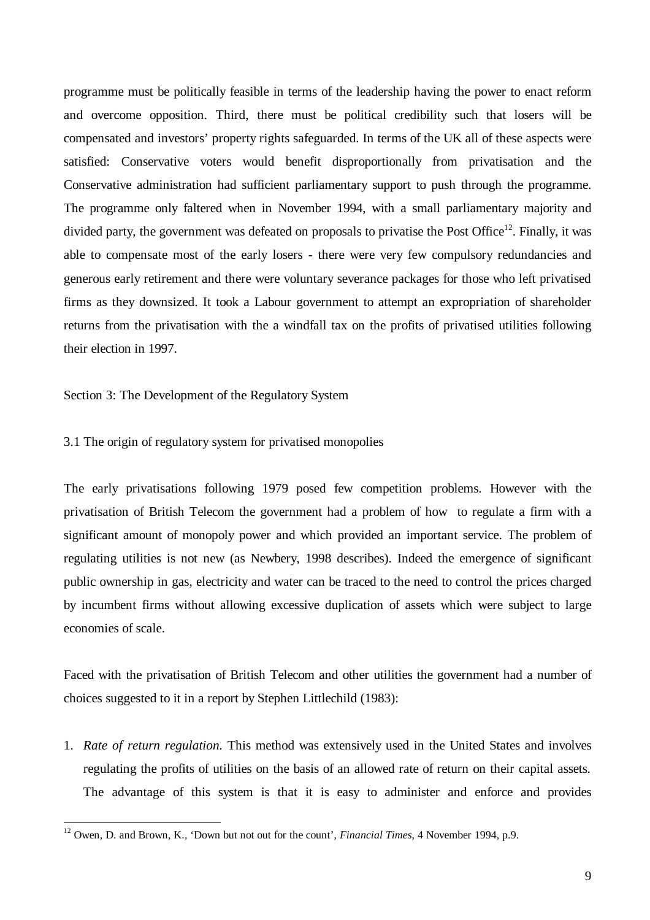programme must be politically feasible in terms of the leadership having the power to enact reform and overcome opposition. Third, there must be political credibility such that losers will be compensated and investors' property rights safeguarded. In terms of the UK all of these aspects were satisfied: Conservative voters would benefit disproportionally from privatisation and the Conservative administration had sufficient parliamentary support to push through the programme. The programme only faltered when in November 1994, with a small parliamentary majority and divided party, the government was defeated on proposals to privatise the Post Office<sup>12</sup>. Finally, it was able to compensate most of the early losers - there were very few compulsory redundancies and generous early retirement and there were voluntary severance packages for those who left privatised firms as they downsized. It took a Labour government to attempt an expropriation of shareholder returns from the privatisation with the a windfall tax on the profits of privatised utilities following their election in 1997.

Section 3: The Development of the Regulatory System

-

## 3.1 The origin of regulatory system for privatised monopolies

The early privatisations following 1979 posed few competition problems. However with the privatisation of British Telecom the government had a problem of how to regulate a firm with a significant amount of monopoly power and which provided an important service. The problem of regulating utilities is not new (as Newbery, 1998 describes). Indeed the emergence of significant public ownership in gas, electricity and water can be traced to the need to control the prices charged by incumbent firms without allowing excessive duplication of assets which were subject to large economies of scale.

Faced with the privatisation of British Telecom and other utilities the government had a number of choices suggested to it in a report by Stephen Littlechild (1983):

1. *Rate of return regulation.* This method was extensively used in the United States and involves regulating the profits of utilities on the basis of an allowed rate of return on their capital assets. The advantage of this system is that it is easy to administer and enforce and provides

<sup>12</sup> Owen, D. and Brown, K., 'Down but not out for the count', *Financial Times*, 4 November 1994, p.9.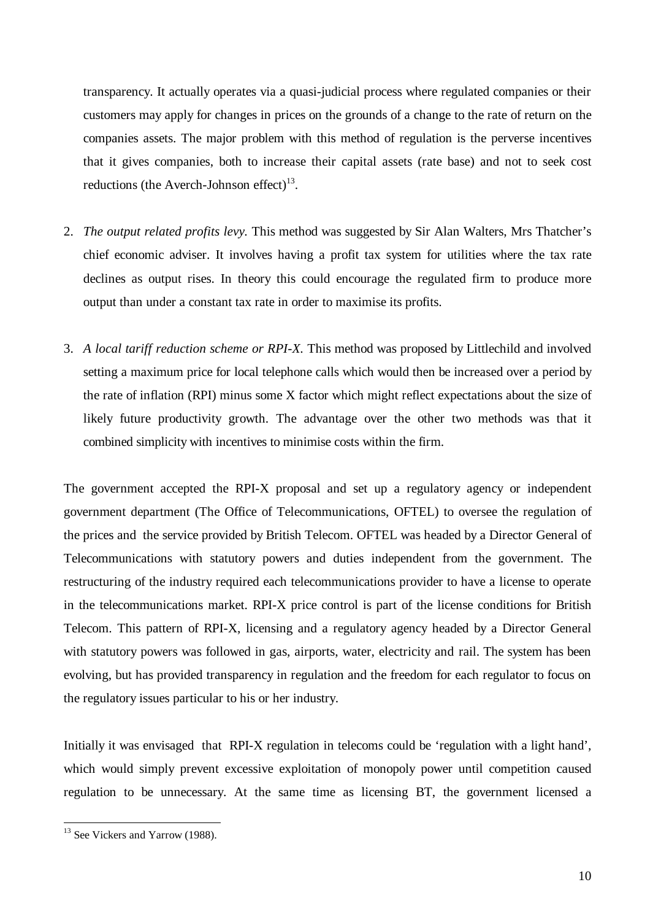transparency. It actually operates via a quasi-judicial process where regulated companies or their customers may apply for changes in prices on the grounds of a change to the rate of return on the companies assets. The major problem with this method of regulation is the perverse incentives that it gives companies, both to increase their capital assets (rate base) and not to seek cost reductions (the Averch-Johnson effect) $^{13}$ .

- 2. *The output related profits levy.* This method was suggested by Sir Alan Walters, Mrs Thatcher's chief economic adviser. It involves having a profit tax system for utilities where the tax rate declines as output rises. In theory this could encourage the regulated firm to produce more output than under a constant tax rate in order to maximise its profits.
- 3. *A local tariff reduction scheme or RPI-X.* This method was proposed by Littlechild and involved setting a maximum price for local telephone calls which would then be increased over a period by the rate of inflation (RPI) minus some X factor which might reflect expectations about the size of likely future productivity growth. The advantage over the other two methods was that it combined simplicity with incentives to minimise costs within the firm.

The government accepted the RPI-X proposal and set up a regulatory agency or independent government department (The Office of Telecommunications, OFTEL) to oversee the regulation of the prices and the service provided by British Telecom. OFTEL was headed by a Director General of Telecommunications with statutory powers and duties independent from the government. The restructuring of the industry required each telecommunications provider to have a license to operate in the telecommunications market. RPI-X price control is part of the license conditions for British Telecom. This pattern of RPI-X, licensing and a regulatory agency headed by a Director General with statutory powers was followed in gas, airports, water, electricity and rail. The system has been evolving, but has provided transparency in regulation and the freedom for each regulator to focus on the regulatory issues particular to his or her industry.

Initially it was envisaged that RPI-X regulation in telecoms could be 'regulation with a light hand', which would simply prevent excessive exploitation of monopoly power until competition caused regulation to be unnecessary. At the same time as licensing BT, the government licensed a

<sup>&</sup>lt;sup>13</sup> See Vickers and Yarrow (1988).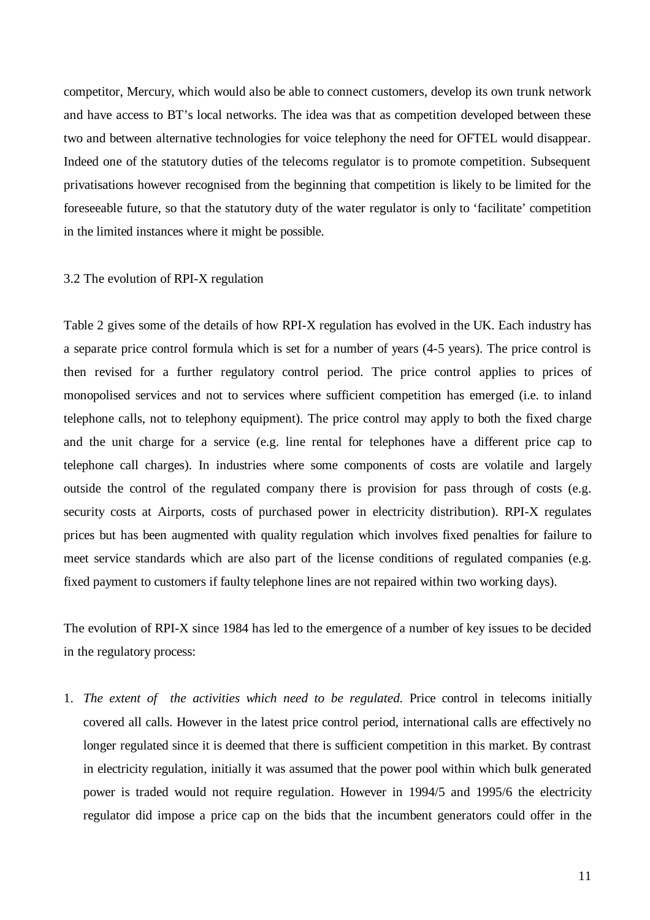competitor, Mercury, which would also be able to connect customers, develop its own trunk network and have access to BT's local networks. The idea was that as competition developed between these two and between alternative technologies for voice telephony the need for OFTEL would disappear. Indeed one of the statutory duties of the telecoms regulator is to promote competition. Subsequent privatisations however recognised from the beginning that competition is likely to be limited for the foreseeable future, so that the statutory duty of the water regulator is only to 'facilitate' competition in the limited instances where it might be possible.

#### 3.2 The evolution of RPI-X regulation

Table 2 gives some of the details of how RPI-X regulation has evolved in the UK. Each industry has a separate price control formula which is set for a number of years (4-5 years). The price control is then revised for a further regulatory control period. The price control applies to prices of monopolised services and not to services where sufficient competition has emerged (i.e. to inland telephone calls, not to telephony equipment). The price control may apply to both the fixed charge and the unit charge for a service (e.g. line rental for telephones have a different price cap to telephone call charges). In industries where some components of costs are volatile and largely outside the control of the regulated company there is provision for pass through of costs (e.g. security costs at Airports, costs of purchased power in electricity distribution). RPI-X regulates prices but has been augmented with quality regulation which involves fixed penalties for failure to meet service standards which are also part of the license conditions of regulated companies (e.g. fixed payment to customers if faulty telephone lines are not repaired within two working days).

The evolution of RPI-X since 1984 has led to the emergence of a number of key issues to be decided in the regulatory process:

1. *The extent of the activities which need to be regulated.* Price control in telecoms initially covered all calls. However in the latest price control period, international calls are effectively no longer regulated since it is deemed that there is sufficient competition in this market. By contrast in electricity regulation, initially it was assumed that the power pool within which bulk generated power is traded would not require regulation. However in 1994/5 and 1995/6 the electricity regulator did impose a price cap on the bids that the incumbent generators could offer in the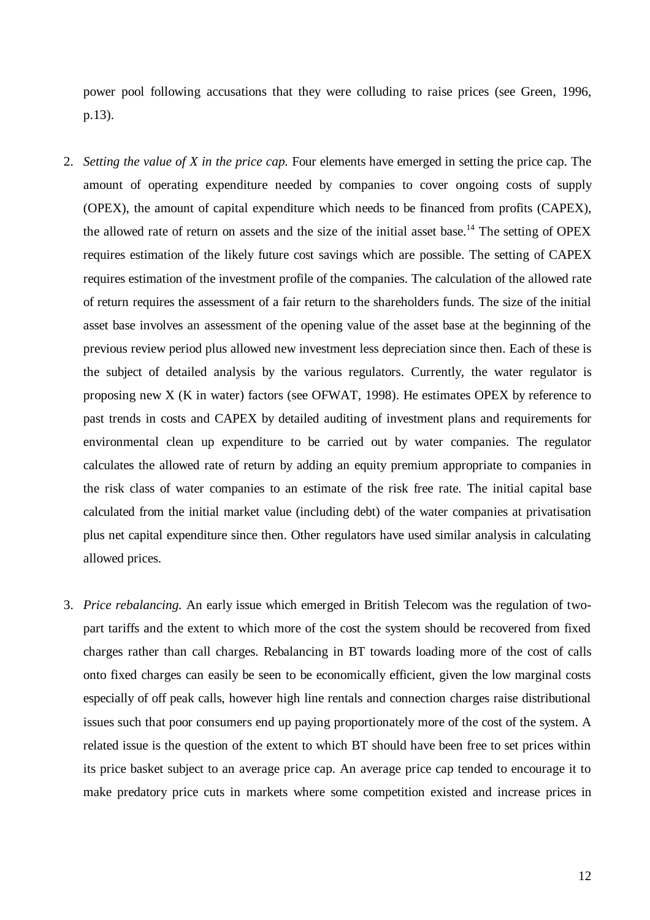power pool following accusations that they were colluding to raise prices (see Green, 1996, p.13).

- 2. *Setting the value of X in the price cap.* Four elements have emerged in setting the price cap. The amount of operating expenditure needed by companies to cover ongoing costs of supply (OPEX), the amount of capital expenditure which needs to be financed from profits (CAPEX), the allowed rate of return on assets and the size of the initial asset base.<sup>14</sup> The setting of OPEX requires estimation of the likely future cost savings which are possible. The setting of CAPEX requires estimation of the investment profile of the companies. The calculation of the allowed rate of return requires the assessment of a fair return to the shareholders funds. The size of the initial asset base involves an assessment of the opening value of the asset base at the beginning of the previous review period plus allowed new investment less depreciation since then. Each of these is the subject of detailed analysis by the various regulators. Currently, the water regulator is proposing new X (K in water) factors (see OFWAT, 1998). He estimates OPEX by reference to past trends in costs and CAPEX by detailed auditing of investment plans and requirements for environmental clean up expenditure to be carried out by water companies. The regulator calculates the allowed rate of return by adding an equity premium appropriate to companies in the risk class of water companies to an estimate of the risk free rate. The initial capital base calculated from the initial market value (including debt) of the water companies at privatisation plus net capital expenditure since then. Other regulators have used similar analysis in calculating allowed prices.
- 3. *Price rebalancing.* An early issue which emerged in British Telecom was the regulation of twopart tariffs and the extent to which more of the cost the system should be recovered from fixed charges rather than call charges. Rebalancing in BT towards loading more of the cost of calls onto fixed charges can easily be seen to be economically efficient, given the low marginal costs especially of off peak calls, however high line rentals and connection charges raise distributional issues such that poor consumers end up paying proportionately more of the cost of the system. A related issue is the question of the extent to which BT should have been free to set prices within its price basket subject to an average price cap. An average price cap tended to encourage it to make predatory price cuts in markets where some competition existed and increase prices in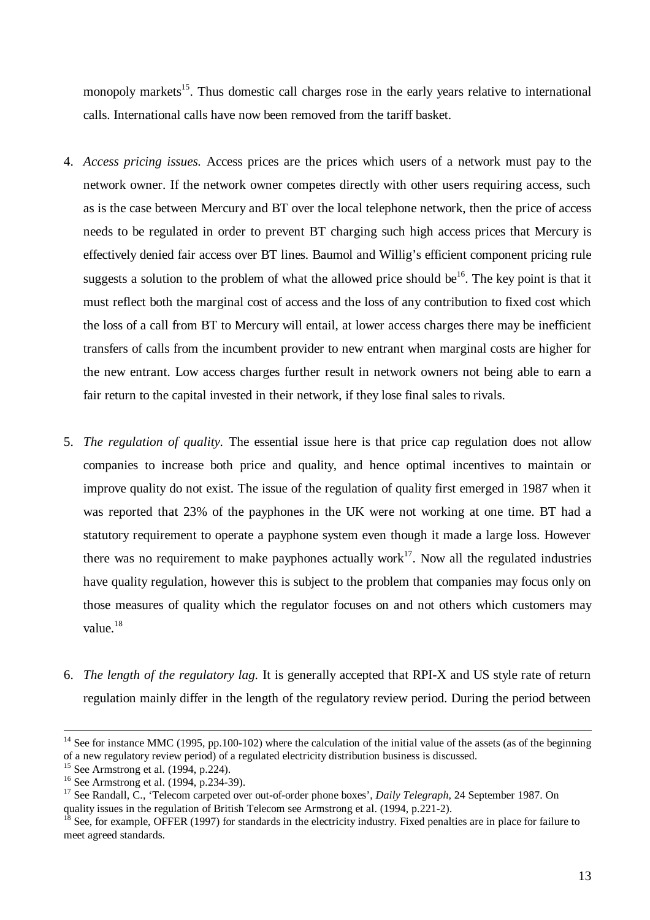monopoly markets<sup>15</sup>. Thus domestic call charges rose in the early years relative to international calls. International calls have now been removed from the tariff basket.

- 4. *Access pricing issues.* Access prices are the prices which users of a network must pay to the network owner. If the network owner competes directly with other users requiring access, such as is the case between Mercury and BT over the local telephone network, then the price of access needs to be regulated in order to prevent BT charging such high access prices that Mercury is effectively denied fair access over BT lines. Baumol and Willig's efficient component pricing rule suggests a solution to the problem of what the allowed price should be<sup>16</sup>. The key point is that it must reflect both the marginal cost of access and the loss of any contribution to fixed cost which the loss of a call from BT to Mercury will entail, at lower access charges there may be inefficient transfers of calls from the incumbent provider to new entrant when marginal costs are higher for the new entrant. Low access charges further result in network owners not being able to earn a fair return to the capital invested in their network, if they lose final sales to rivals.
- 5. *The regulation of quality.* The essential issue here is that price cap regulation does not allow companies to increase both price and quality, and hence optimal incentives to maintain or improve quality do not exist. The issue of the regulation of quality first emerged in 1987 when it was reported that 23% of the payphones in the UK were not working at one time. BT had a statutory requirement to operate a payphone system even though it made a large loss. However there was no requirement to make payphones actually work<sup>17</sup>. Now all the regulated industries have quality regulation, however this is subject to the problem that companies may focus only on those measures of quality which the regulator focuses on and not others which customers may value.<sup>18</sup>
- 6. *The length of the regulatory lag.* It is generally accepted that RPI-X and US style rate of return regulation mainly differ in the length of the regulatory review period. During the period between

<sup>&</sup>lt;sup>14</sup> See for instance MMC (1995, pp.100-102) where the calculation of the initial value of the assets (as of the beginning of a new regulatory review period) of a regulated electricity distribution business is discussed.

 $15$  See Armstrong et al. (1994, p.224).

<sup>&</sup>lt;sup>16</sup> See Armstrong et al. (1994, p.234-39).

<sup>17</sup> See Randall, C., 'Telecom carpeted over out-of-order phone boxes', *Daily Telegraph*, 24 September 1987. On quality issues in the regulation of British Telecom see Armstrong et al. (1994, p.221-2).

 $18$  See, for example, OFFER (1997) for standards in the electricity industry. Fixed penalties are in place for failure to meet agreed standards.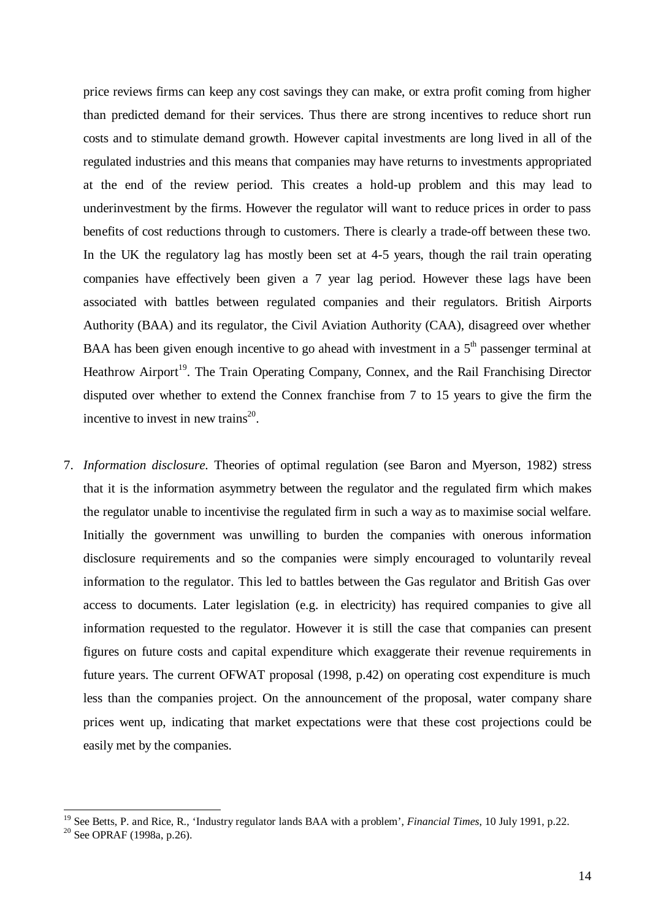price reviews firms can keep any cost savings they can make, or extra profit coming from higher than predicted demand for their services. Thus there are strong incentives to reduce short run costs and to stimulate demand growth. However capital investments are long lived in all of the regulated industries and this means that companies may have returns to investments appropriated at the end of the review period. This creates a hold-up problem and this may lead to underinvestment by the firms. However the regulator will want to reduce prices in order to pass benefits of cost reductions through to customers. There is clearly a trade-off between these two. In the UK the regulatory lag has mostly been set at 4-5 years, though the rail train operating companies have effectively been given a 7 year lag period. However these lags have been associated with battles between regulated companies and their regulators. British Airports Authority (BAA) and its regulator, the Civil Aviation Authority (CAA), disagreed over whether BAA has been given enough incentive to go ahead with investment in a  $5<sup>th</sup>$  passenger terminal at Heathrow Airport<sup>19</sup>. The Train Operating Company, Connex, and the Rail Franchising Director disputed over whether to extend the Connex franchise from 7 to 15 years to give the firm the incentive to invest in new trains $^{20}$ .

7. *Information disclosure.* Theories of optimal regulation (see Baron and Myerson, 1982) stress that it is the information asymmetry between the regulator and the regulated firm which makes the regulator unable to incentivise the regulated firm in such a way as to maximise social welfare. Initially the government was unwilling to burden the companies with onerous information disclosure requirements and so the companies were simply encouraged to voluntarily reveal information to the regulator. This led to battles between the Gas regulator and British Gas over access to documents. Later legislation (e.g. in electricity) has required companies to give all information requested to the regulator. However it is still the case that companies can present figures on future costs and capital expenditure which exaggerate their revenue requirements in future years. The current OFWAT proposal (1998, p.42) on operating cost expenditure is much less than the companies project. On the announcement of the proposal, water company share prices went up, indicating that market expectations were that these cost projections could be easily met by the companies.

<sup>19</sup> See Betts, P. and Rice, R., 'Industry regulator lands BAA with a problem', *Financial Times*, 10 July 1991, p.22.

 $20$  See OPRAF (1998a, p.26).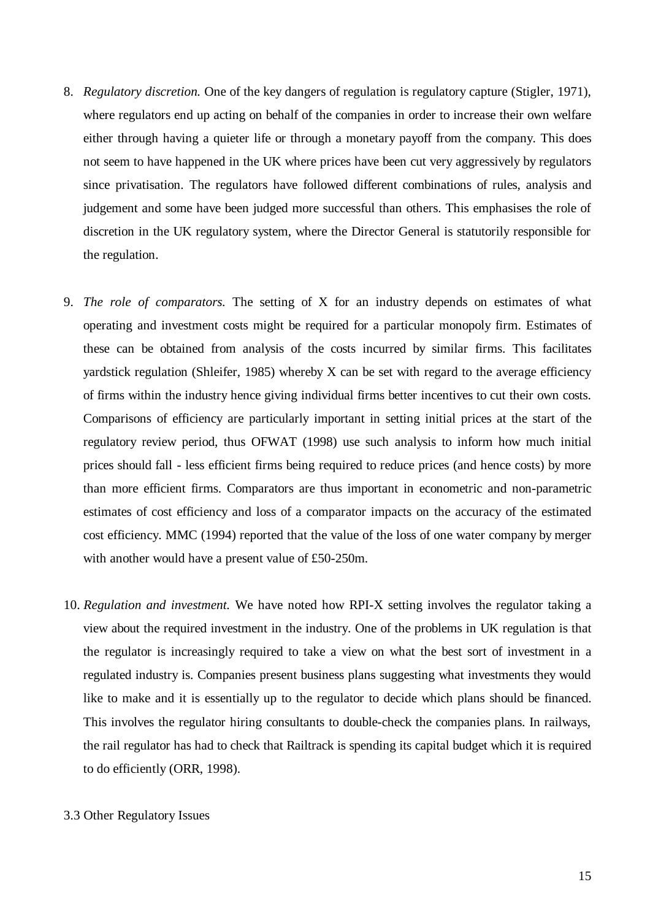- 8. *Regulatory discretion.* One of the key dangers of regulation is regulatory capture (Stigler, 1971), where regulators end up acting on behalf of the companies in order to increase their own welfare either through having a quieter life or through a monetary payoff from the company. This does not seem to have happened in the UK where prices have been cut very aggressively by regulators since privatisation. The regulators have followed different combinations of rules, analysis and judgement and some have been judged more successful than others. This emphasises the role of discretion in the UK regulatory system, where the Director General is statutorily responsible for the regulation.
- 9. *The role of comparators.* The setting of X for an industry depends on estimates of what operating and investment costs might be required for a particular monopoly firm. Estimates of these can be obtained from analysis of the costs incurred by similar firms. This facilitates yardstick regulation (Shleifer, 1985) whereby X can be set with regard to the average efficiency of firms within the industry hence giving individual firms better incentives to cut their own costs. Comparisons of efficiency are particularly important in setting initial prices at the start of the regulatory review period, thus OFWAT (1998) use such analysis to inform how much initial prices should fall - less efficient firms being required to reduce prices (and hence costs) by more than more efficient firms. Comparators are thus important in econometric and non-parametric estimates of cost efficiency and loss of a comparator impacts on the accuracy of the estimated cost efficiency. MMC (1994) reported that the value of the loss of one water company by merger with another would have a present value of £50-250m.
- 10. *Regulation and investment.* We have noted how RPI-X setting involves the regulator taking a view about the required investment in the industry. One of the problems in UK regulation is that the regulator is increasingly required to take a view on what the best sort of investment in a regulated industry is. Companies present business plans suggesting what investments they would like to make and it is essentially up to the regulator to decide which plans should be financed. This involves the regulator hiring consultants to double-check the companies plans. In railways, the rail regulator has had to check that Railtrack is spending its capital budget which it is required to do efficiently (ORR, 1998).
- 3.3 Other Regulatory Issues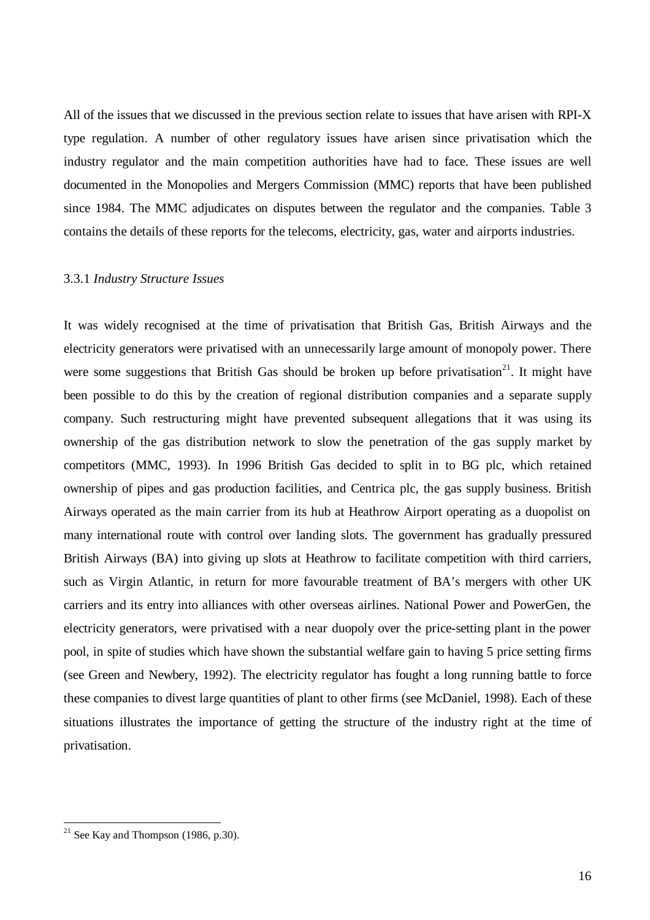All of the issues that we discussed in the previous section relate to issues that have arisen with RPI-X type regulation. A number of other regulatory issues have arisen since privatisation which the industry regulator and the main competition authorities have had to face. These issues are well documented in the Monopolies and Mergers Commission (MMC) reports that have been published since 1984. The MMC adjudicates on disputes between the regulator and the companies. Table 3 contains the details of these reports for the telecoms, electricity, gas, water and airports industries.

#### 3.3.1 *Industry Structure Issues*

It was widely recognised at the time of privatisation that British Gas, British Airways and the electricity generators were privatised with an unnecessarily large amount of monopoly power. There were some suggestions that British Gas should be broken up before privatisation<sup>21</sup>. It might have been possible to do this by the creation of regional distribution companies and a separate supply company. Such restructuring might have prevented subsequent allegations that it was using its ownership of the gas distribution network to slow the penetration of the gas supply market by competitors (MMC, 1993). In 1996 British Gas decided to split in to BG plc, which retained ownership of pipes and gas production facilities, and Centrica plc, the gas supply business. British Airways operated as the main carrier from its hub at Heathrow Airport operating as a duopolist on many international route with control over landing slots. The government has gradually pressured British Airways (BA) into giving up slots at Heathrow to facilitate competition with third carriers, such as Virgin Atlantic, in return for more favourable treatment of BA's mergers with other UK carriers and its entry into alliances with other overseas airlines. National Power and PowerGen, the electricity generators, were privatised with a near duopoly over the price-setting plant in the power pool, in spite of studies which have shown the substantial welfare gain to having 5 price setting firms (see Green and Newbery, 1992). The electricity regulator has fought a long running battle to force these companies to divest large quantities of plant to other firms (see McDaniel, 1998). Each of these situations illustrates the importance of getting the structure of the industry right at the time of privatisation.

 $21$  See Kay and Thompson (1986, p.30).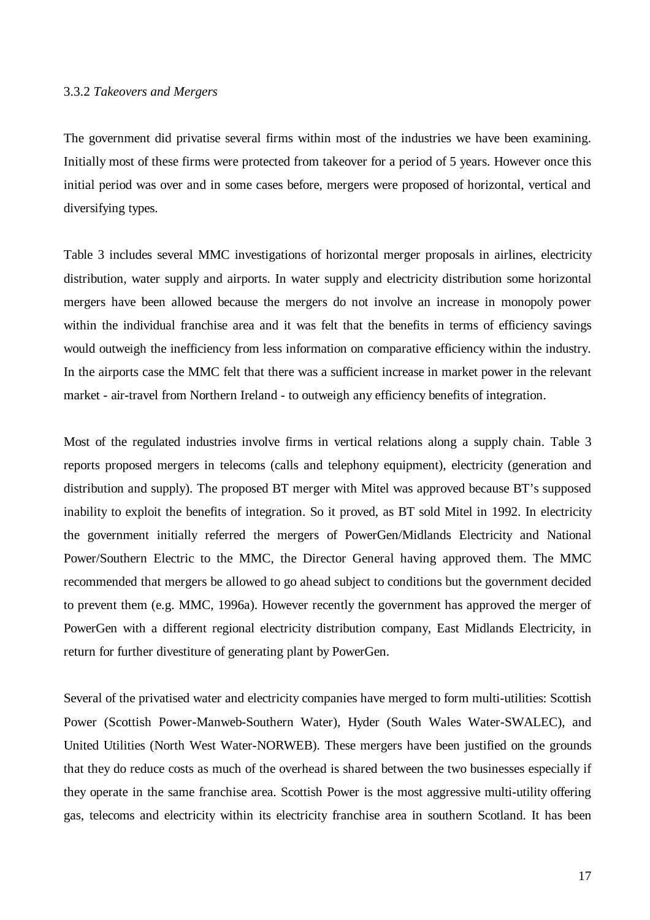#### 3.3.2 *Takeovers and Mergers*

The government did privatise several firms within most of the industries we have been examining. Initially most of these firms were protected from takeover for a period of 5 years. However once this initial period was over and in some cases before, mergers were proposed of horizontal, vertical and diversifying types.

Table 3 includes several MMC investigations of horizontal merger proposals in airlines, electricity distribution, water supply and airports. In water supply and electricity distribution some horizontal mergers have been allowed because the mergers do not involve an increase in monopoly power within the individual franchise area and it was felt that the benefits in terms of efficiency savings would outweigh the inefficiency from less information on comparative efficiency within the industry. In the airports case the MMC felt that there was a sufficient increase in market power in the relevant market - air-travel from Northern Ireland - to outweigh any efficiency benefits of integration.

Most of the regulated industries involve firms in vertical relations along a supply chain. Table 3 reports proposed mergers in telecoms (calls and telephony equipment), electricity (generation and distribution and supply). The proposed BT merger with Mitel was approved because BT's supposed inability to exploit the benefits of integration. So it proved, as BT sold Mitel in 1992. In electricity the government initially referred the mergers of PowerGen/Midlands Electricity and National Power/Southern Electric to the MMC, the Director General having approved them. The MMC recommended that mergers be allowed to go ahead subject to conditions but the government decided to prevent them (e.g. MMC, 1996a). However recently the government has approved the merger of PowerGen with a different regional electricity distribution company, East Midlands Electricity, in return for further divestiture of generating plant by PowerGen.

Several of the privatised water and electricity companies have merged to form multi-utilities: Scottish Power (Scottish Power-Manweb-Southern Water), Hyder (South Wales Water-SWALEC), and United Utilities (North West Water-NORWEB). These mergers have been justified on the grounds that they do reduce costs as much of the overhead is shared between the two businesses especially if they operate in the same franchise area. Scottish Power is the most aggressive multi-utility offering gas, telecoms and electricity within its electricity franchise area in southern Scotland. It has been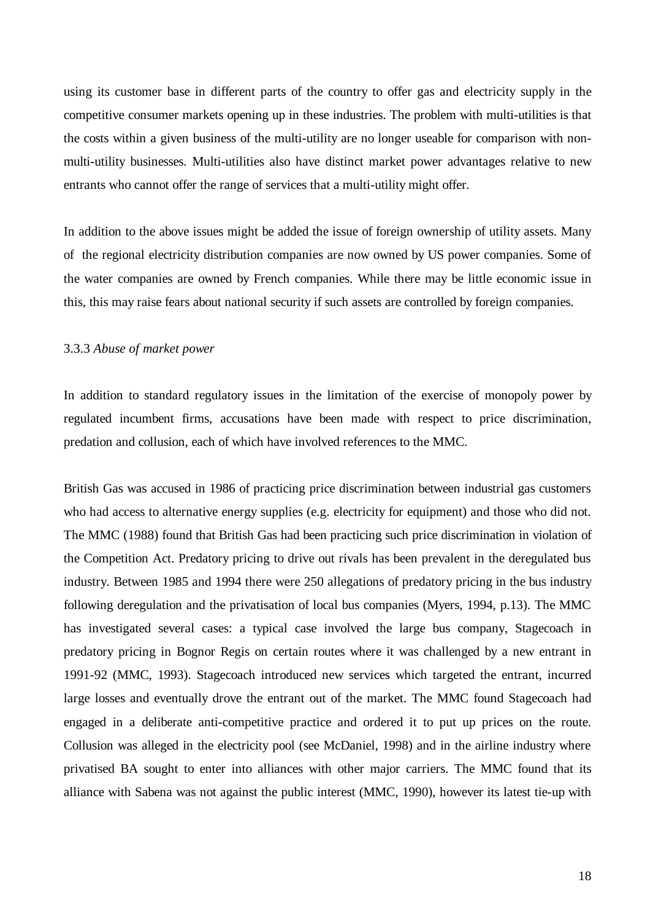using its customer base in different parts of the country to offer gas and electricity supply in the competitive consumer markets opening up in these industries. The problem with multi-utilities is that the costs within a given business of the multi-utility are no longer useable for comparison with nonmulti-utility businesses. Multi-utilities also have distinct market power advantages relative to new entrants who cannot offer the range of services that a multi-utility might offer.

In addition to the above issues might be added the issue of foreign ownership of utility assets. Many of the regional electricity distribution companies are now owned by US power companies. Some of the water companies are owned by French companies. While there may be little economic issue in this, this may raise fears about national security if such assets are controlled by foreign companies.

## 3.3.3 *Abuse of market power*

In addition to standard regulatory issues in the limitation of the exercise of monopoly power by regulated incumbent firms, accusations have been made with respect to price discrimination, predation and collusion, each of which have involved references to the MMC.

British Gas was accused in 1986 of practicing price discrimination between industrial gas customers who had access to alternative energy supplies (e.g. electricity for equipment) and those who did not. The MMC (1988) found that British Gas had been practicing such price discrimination in violation of the Competition Act. Predatory pricing to drive out rivals has been prevalent in the deregulated bus industry. Between 1985 and 1994 there were 250 allegations of predatory pricing in the bus industry following deregulation and the privatisation of local bus companies (Myers, 1994, p.13). The MMC has investigated several cases: a typical case involved the large bus company, Stagecoach in predatory pricing in Bognor Regis on certain routes where it was challenged by a new entrant in 1991-92 (MMC, 1993). Stagecoach introduced new services which targeted the entrant, incurred large losses and eventually drove the entrant out of the market. The MMC found Stagecoach had engaged in a deliberate anti-competitive practice and ordered it to put up prices on the route. Collusion was alleged in the electricity pool (see McDaniel, 1998) and in the airline industry where privatised BA sought to enter into alliances with other major carriers. The MMC found that its alliance with Sabena was not against the public interest (MMC, 1990), however its latest tie-up with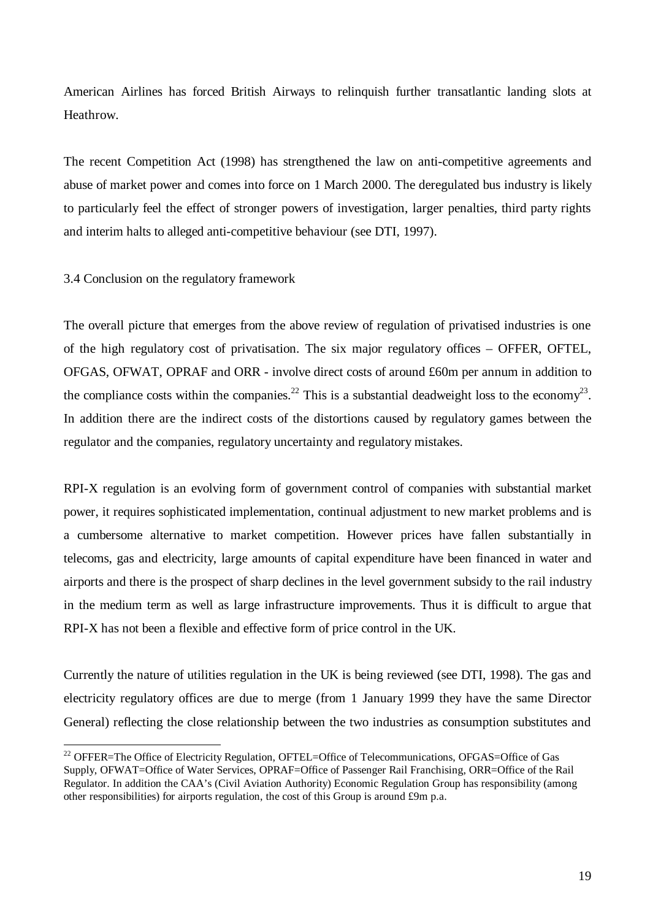American Airlines has forced British Airways to relinquish further transatlantic landing slots at Heathrow.

The recent Competition Act (1998) has strengthened the law on anti-competitive agreements and abuse of market power and comes into force on 1 March 2000. The deregulated bus industry is likely to particularly feel the effect of stronger powers of investigation, larger penalties, third party rights and interim halts to alleged anti-competitive behaviour (see DTI, 1997).

3.4 Conclusion on the regulatory framework

l

The overall picture that emerges from the above review of regulation of privatised industries is one of the high regulatory cost of privatisation. The six major regulatory offices – OFFER, OFTEL, OFGAS, OFWAT, OPRAF and ORR - involve direct costs of around £60m per annum in addition to the compliance costs within the companies.<sup>22</sup> This is a substantial deadweight loss to the economy<sup>23</sup>. In addition there are the indirect costs of the distortions caused by regulatory games between the regulator and the companies, regulatory uncertainty and regulatory mistakes.

RPI-X regulation is an evolving form of government control of companies with substantial market power, it requires sophisticated implementation, continual adjustment to new market problems and is a cumbersome alternative to market competition. However prices have fallen substantially in telecoms, gas and electricity, large amounts of capital expenditure have been financed in water and airports and there is the prospect of sharp declines in the level government subsidy to the rail industry in the medium term as well as large infrastructure improvements. Thus it is difficult to argue that RPI-X has not been a flexible and effective form of price control in the UK.

Currently the nature of utilities regulation in the UK is being reviewed (see DTI, 1998). The gas and electricity regulatory offices are due to merge (from 1 January 1999 they have the same Director General) reflecting the close relationship between the two industries as consumption substitutes and

<sup>&</sup>lt;sup>22</sup> OFFER=The Office of Electricity Regulation, OFTEL=Office of Telecommunications, OFGAS=Office of Gas Supply, OFWAT=Office of Water Services, OPRAF=Office of Passenger Rail Franchising, ORR=Office of the Rail Regulator. In addition the CAA's (Civil Aviation Authority) Economic Regulation Group has responsibility (among other responsibilities) for airports regulation, the cost of this Group is around £9m p.a.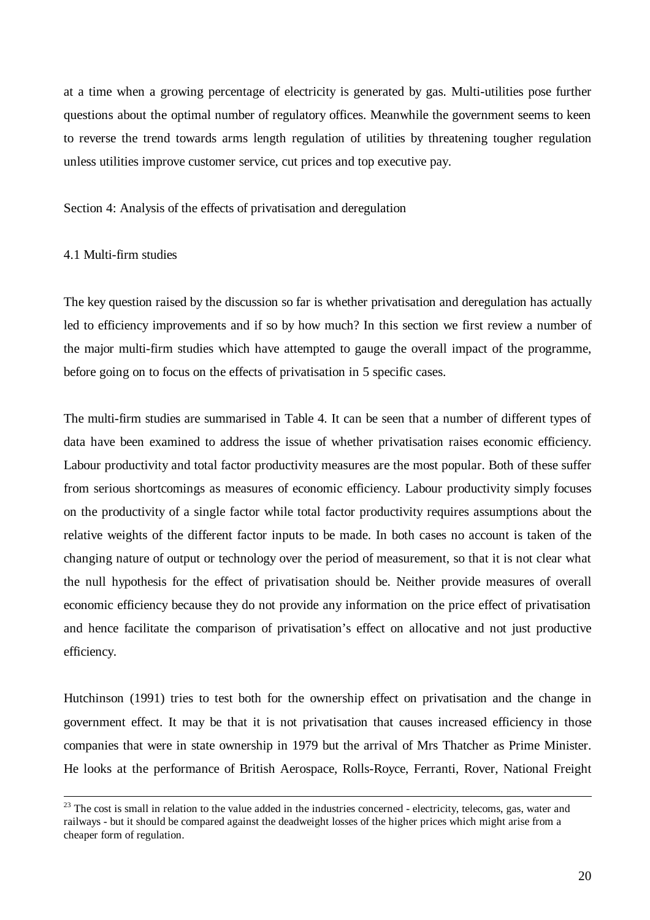at a time when a growing percentage of electricity is generated by gas. Multi-utilities pose further questions about the optimal number of regulatory offices. Meanwhile the government seems to keen to reverse the trend towards arms length regulation of utilities by threatening tougher regulation unless utilities improve customer service, cut prices and top executive pay.

Section 4: Analysis of the effects of privatisation and deregulation

# 4.1 Multi-firm studies

-

The key question raised by the discussion so far is whether privatisation and deregulation has actually led to efficiency improvements and if so by how much? In this section we first review a number of the major multi-firm studies which have attempted to gauge the overall impact of the programme, before going on to focus on the effects of privatisation in 5 specific cases.

The multi-firm studies are summarised in Table 4. It can be seen that a number of different types of data have been examined to address the issue of whether privatisation raises economic efficiency. Labour productivity and total factor productivity measures are the most popular. Both of these suffer from serious shortcomings as measures of economic efficiency. Labour productivity simply focuses on the productivity of a single factor while total factor productivity requires assumptions about the relative weights of the different factor inputs to be made. In both cases no account is taken of the changing nature of output or technology over the period of measurement, so that it is not clear what the null hypothesis for the effect of privatisation should be. Neither provide measures of overall economic efficiency because they do not provide any information on the price effect of privatisation and hence facilitate the comparison of privatisation's effect on allocative and not just productive efficiency.

Hutchinson (1991) tries to test both for the ownership effect on privatisation and the change in government effect. It may be that it is not privatisation that causes increased efficiency in those companies that were in state ownership in 1979 but the arrival of Mrs Thatcher as Prime Minister. He looks at the performance of British Aerospace, Rolls-Royce, Ferranti, Rover, National Freight

 $23$  The cost is small in relation to the value added in the industries concerned - electricity, telecoms, gas, water and railways - but it should be compared against the deadweight losses of the higher prices which might arise from a cheaper form of regulation.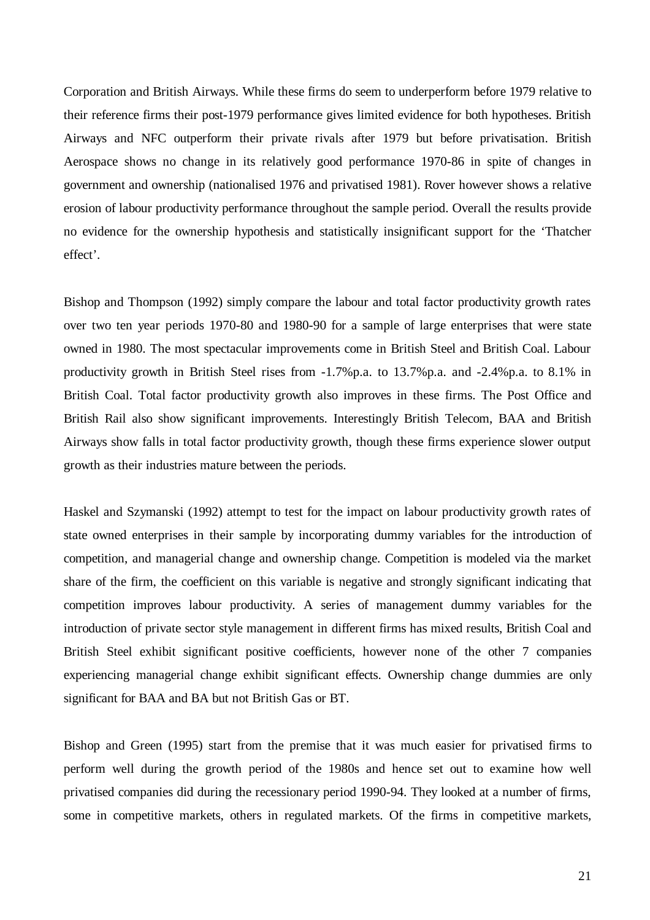Corporation and British Airways. While these firms do seem to underperform before 1979 relative to their reference firms their post-1979 performance gives limited evidence for both hypotheses. British Airways and NFC outperform their private rivals after 1979 but before privatisation. British Aerospace shows no change in its relatively good performance 1970-86 in spite of changes in government and ownership (nationalised 1976 and privatised 1981). Rover however shows a relative erosion of labour productivity performance throughout the sample period. Overall the results provide no evidence for the ownership hypothesis and statistically insignificant support for the 'Thatcher effect'.

Bishop and Thompson (1992) simply compare the labour and total factor productivity growth rates over two ten year periods 1970-80 and 1980-90 for a sample of large enterprises that were state owned in 1980. The most spectacular improvements come in British Steel and British Coal. Labour productivity growth in British Steel rises from -1.7%p.a. to 13.7%p.a. and -2.4%p.a. to 8.1% in British Coal. Total factor productivity growth also improves in these firms. The Post Office and British Rail also show significant improvements. Interestingly British Telecom, BAA and British Airways show falls in total factor productivity growth, though these firms experience slower output growth as their industries mature between the periods.

Haskel and Szymanski (1992) attempt to test for the impact on labour productivity growth rates of state owned enterprises in their sample by incorporating dummy variables for the introduction of competition, and managerial change and ownership change. Competition is modeled via the market share of the firm, the coefficient on this variable is negative and strongly significant indicating that competition improves labour productivity. A series of management dummy variables for the introduction of private sector style management in different firms has mixed results, British Coal and British Steel exhibit significant positive coefficients, however none of the other 7 companies experiencing managerial change exhibit significant effects. Ownership change dummies are only significant for BAA and BA but not British Gas or BT.

Bishop and Green (1995) start from the premise that it was much easier for privatised firms to perform well during the growth period of the 1980s and hence set out to examine how well privatised companies did during the recessionary period 1990-94. They looked at a number of firms, some in competitive markets, others in regulated markets. Of the firms in competitive markets,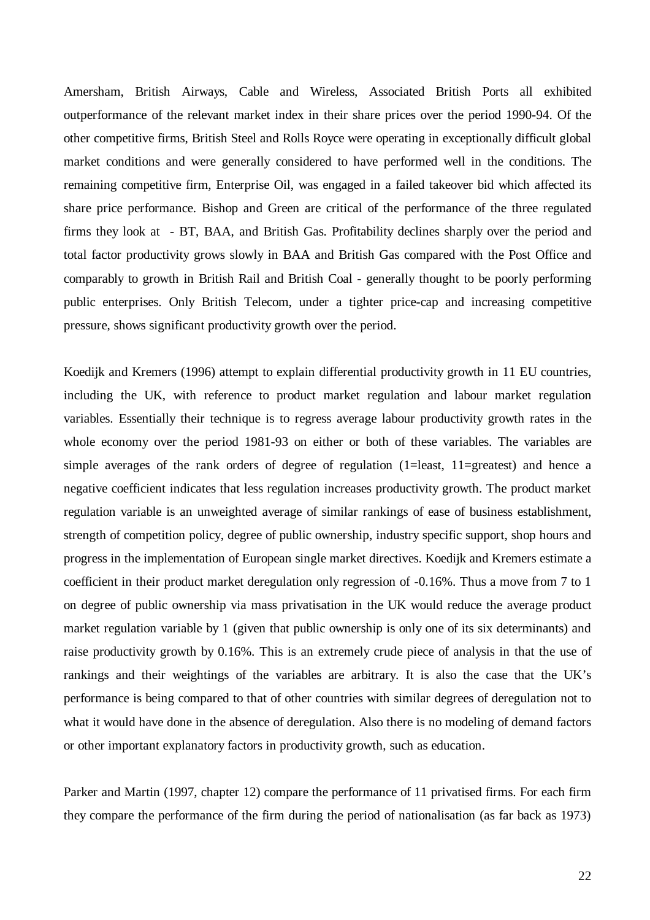Amersham, British Airways, Cable and Wireless, Associated British Ports all exhibited outperformance of the relevant market index in their share prices over the period 1990-94. Of the other competitive firms, British Steel and Rolls Royce were operating in exceptionally difficult global market conditions and were generally considered to have performed well in the conditions. The remaining competitive firm, Enterprise Oil, was engaged in a failed takeover bid which affected its share price performance. Bishop and Green are critical of the performance of the three regulated firms they look at - BT, BAA, and British Gas. Profitability declines sharply over the period and total factor productivity grows slowly in BAA and British Gas compared with the Post Office and comparably to growth in British Rail and British Coal - generally thought to be poorly performing public enterprises. Only British Telecom, under a tighter price-cap and increasing competitive pressure, shows significant productivity growth over the period.

Koedijk and Kremers (1996) attempt to explain differential productivity growth in 11 EU countries, including the UK, with reference to product market regulation and labour market regulation variables. Essentially their technique is to regress average labour productivity growth rates in the whole economy over the period 1981-93 on either or both of these variables. The variables are simple averages of the rank orders of degree of regulation (1=least, 11=greatest) and hence a negative coefficient indicates that less regulation increases productivity growth. The product market regulation variable is an unweighted average of similar rankings of ease of business establishment, strength of competition policy, degree of public ownership, industry specific support, shop hours and progress in the implementation of European single market directives. Koedijk and Kremers estimate a coefficient in their product market deregulation only regression of -0.16%. Thus a move from 7 to 1 on degree of public ownership via mass privatisation in the UK would reduce the average product market regulation variable by 1 (given that public ownership is only one of its six determinants) and raise productivity growth by 0.16%. This is an extremely crude piece of analysis in that the use of rankings and their weightings of the variables are arbitrary. It is also the case that the UK's performance is being compared to that of other countries with similar degrees of deregulation not to what it would have done in the absence of deregulation. Also there is no modeling of demand factors or other important explanatory factors in productivity growth, such as education.

Parker and Martin (1997, chapter 12) compare the performance of 11 privatised firms. For each firm they compare the performance of the firm during the period of nationalisation (as far back as 1973)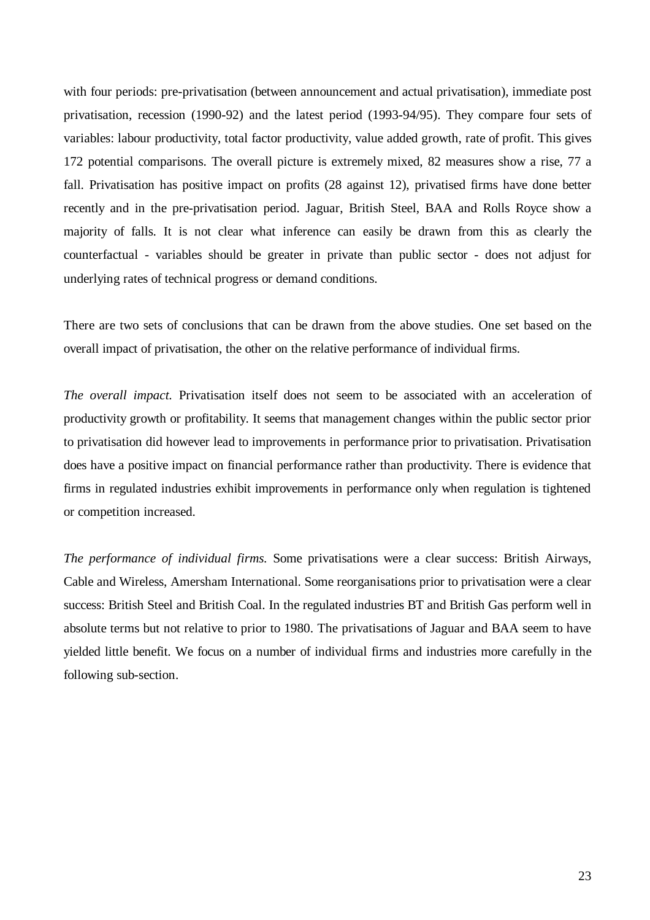with four periods: pre-privatisation (between announcement and actual privatisation), immediate post privatisation, recession (1990-92) and the latest period (1993-94/95). They compare four sets of variables: labour productivity, total factor productivity, value added growth, rate of profit. This gives 172 potential comparisons. The overall picture is extremely mixed, 82 measures show a rise, 77 a fall. Privatisation has positive impact on profits (28 against 12), privatised firms have done better recently and in the pre-privatisation period. Jaguar, British Steel, BAA and Rolls Royce show a majority of falls. It is not clear what inference can easily be drawn from this as clearly the counterfactual - variables should be greater in private than public sector - does not adjust for underlying rates of technical progress or demand conditions.

There are two sets of conclusions that can be drawn from the above studies. One set based on the overall impact of privatisation, the other on the relative performance of individual firms.

*The overall impact.* Privatisation itself does not seem to be associated with an acceleration of productivity growth or profitability. It seems that management changes within the public sector prior to privatisation did however lead to improvements in performance prior to privatisation. Privatisation does have a positive impact on financial performance rather than productivity. There is evidence that firms in regulated industries exhibit improvements in performance only when regulation is tightened or competition increased.

*The performance of individual firms.* Some privatisations were a clear success: British Airways, Cable and Wireless, Amersham International. Some reorganisations prior to privatisation were a clear success: British Steel and British Coal. In the regulated industries BT and British Gas perform well in absolute terms but not relative to prior to 1980. The privatisations of Jaguar and BAA seem to have yielded little benefit. We focus on a number of individual firms and industries more carefully in the following sub-section.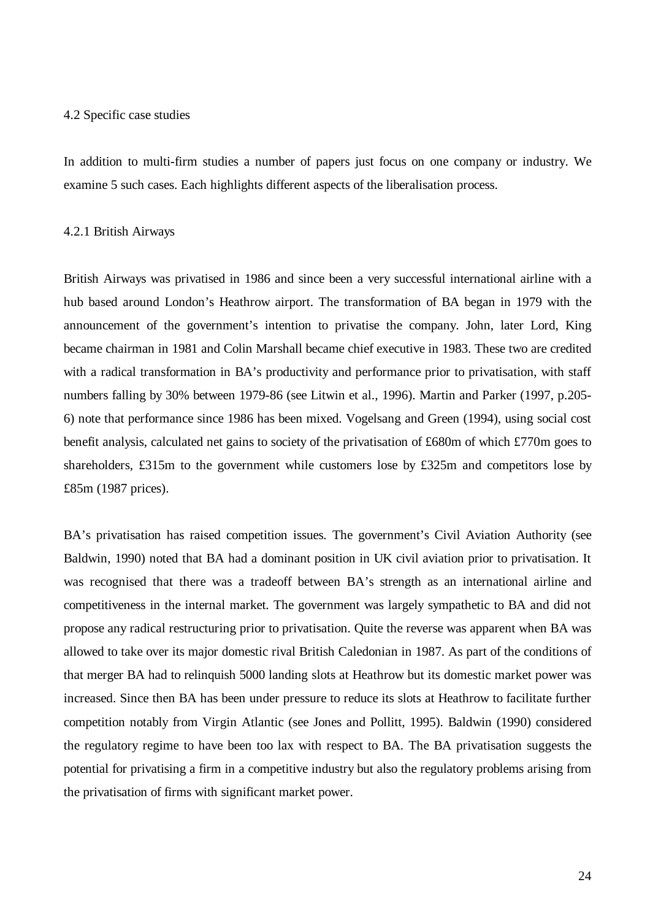## 4.2 Specific case studies

In addition to multi-firm studies a number of papers just focus on one company or industry. We examine 5 such cases. Each highlights different aspects of the liberalisation process.

#### 4.2.1 British Airways

British Airways was privatised in 1986 and since been a very successful international airline with a hub based around London's Heathrow airport. The transformation of BA began in 1979 with the announcement of the government's intention to privatise the company. John, later Lord, King became chairman in 1981 and Colin Marshall became chief executive in 1983. These two are credited with a radical transformation in BA's productivity and performance prior to privatisation, with staff numbers falling by 30% between 1979-86 (see Litwin et al., 1996). Martin and Parker (1997, p.205- 6) note that performance since 1986 has been mixed. Vogelsang and Green (1994), using social cost benefit analysis, calculated net gains to society of the privatisation of £680m of which £770m goes to shareholders, £315m to the government while customers lose by £325m and competitors lose by £85m (1987 prices).

BA's privatisation has raised competition issues. The government's Civil Aviation Authority (see Baldwin, 1990) noted that BA had a dominant position in UK civil aviation prior to privatisation. It was recognised that there was a tradeoff between BA's strength as an international airline and competitiveness in the internal market. The government was largely sympathetic to BA and did not propose any radical restructuring prior to privatisation. Quite the reverse was apparent when BA was allowed to take over its major domestic rival British Caledonian in 1987. As part of the conditions of that merger BA had to relinquish 5000 landing slots at Heathrow but its domestic market power was increased. Since then BA has been under pressure to reduce its slots at Heathrow to facilitate further competition notably from Virgin Atlantic (see Jones and Pollitt, 1995). Baldwin (1990) considered the regulatory regime to have been too lax with respect to BA. The BA privatisation suggests the potential for privatising a firm in a competitive industry but also the regulatory problems arising from the privatisation of firms with significant market power.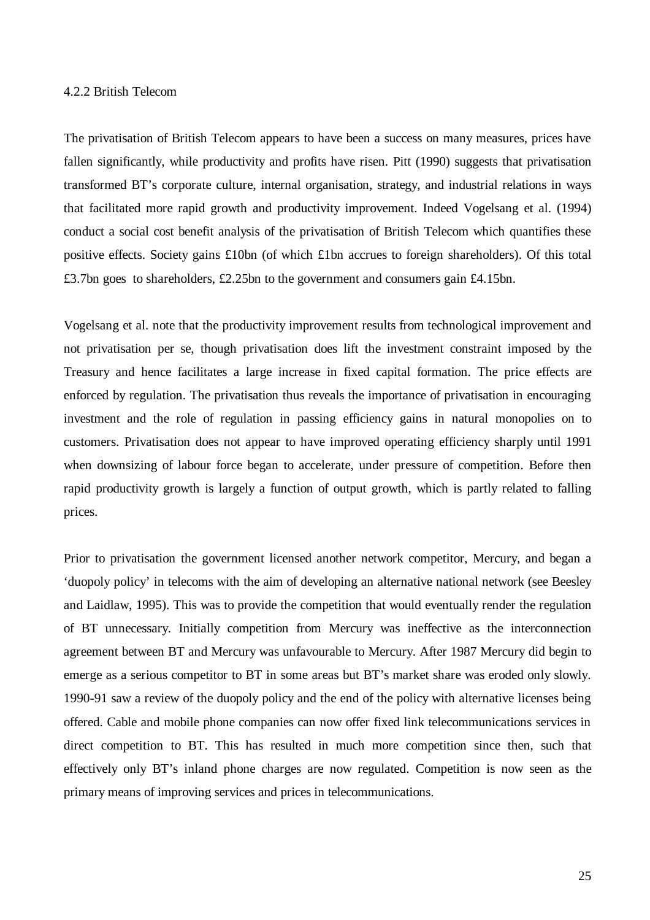## 4.2.2 British Telecom

The privatisation of British Telecom appears to have been a success on many measures, prices have fallen significantly, while productivity and profits have risen. Pitt (1990) suggests that privatisation transformed BT's corporate culture, internal organisation, strategy, and industrial relations in ways that facilitated more rapid growth and productivity improvement. Indeed Vogelsang et al. (1994) conduct a social cost benefit analysis of the privatisation of British Telecom which quantifies these positive effects. Society gains £10bn (of which £1bn accrues to foreign shareholders). Of this total £3.7bn goes to shareholders, £2.25bn to the government and consumers gain £4.15bn.

Vogelsang et al. note that the productivity improvement results from technological improvement and not privatisation per se, though privatisation does lift the investment constraint imposed by the Treasury and hence facilitates a large increase in fixed capital formation. The price effects are enforced by regulation. The privatisation thus reveals the importance of privatisation in encouraging investment and the role of regulation in passing efficiency gains in natural monopolies on to customers. Privatisation does not appear to have improved operating efficiency sharply until 1991 when downsizing of labour force began to accelerate, under pressure of competition. Before then rapid productivity growth is largely a function of output growth, which is partly related to falling prices.

Prior to privatisation the government licensed another network competitor, Mercury, and began a 'duopoly policy' in telecoms with the aim of developing an alternative national network (see Beesley and Laidlaw, 1995). This was to provide the competition that would eventually render the regulation of BT unnecessary. Initially competition from Mercury was ineffective as the interconnection agreement between BT and Mercury was unfavourable to Mercury. After 1987 Mercury did begin to emerge as a serious competitor to BT in some areas but BT's market share was eroded only slowly. 1990-91 saw a review of the duopoly policy and the end of the policy with alternative licenses being offered. Cable and mobile phone companies can now offer fixed link telecommunications services in direct competition to BT. This has resulted in much more competition since then, such that effectively only BT's inland phone charges are now regulated. Competition is now seen as the primary means of improving services and prices in telecommunications.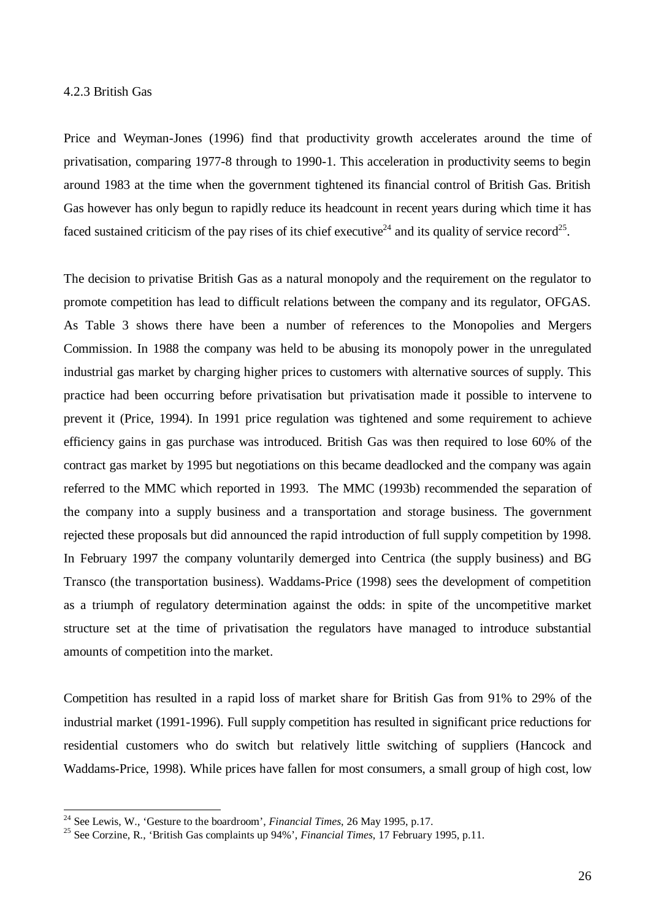#### 4.2.3 British Gas

-

Price and Weyman-Jones (1996) find that productivity growth accelerates around the time of privatisation, comparing 1977-8 through to 1990-1. This acceleration in productivity seems to begin around 1983 at the time when the government tightened its financial control of British Gas. British Gas however has only begun to rapidly reduce its headcount in recent years during which time it has faced sustained criticism of the pay rises of its chief executive<sup>24</sup> and its quality of service record<sup>25</sup>.

The decision to privatise British Gas as a natural monopoly and the requirement on the regulator to promote competition has lead to difficult relations between the company and its regulator, OFGAS. As Table 3 shows there have been a number of references to the Monopolies and Mergers Commission. In 1988 the company was held to be abusing its monopoly power in the unregulated industrial gas market by charging higher prices to customers with alternative sources of supply. This practice had been occurring before privatisation but privatisation made it possible to intervene to prevent it (Price, 1994). In 1991 price regulation was tightened and some requirement to achieve efficiency gains in gas purchase was introduced. British Gas was then required to lose 60% of the contract gas market by 1995 but negotiations on this became deadlocked and the company was again referred to the MMC which reported in 1993. The MMC (1993b) recommended the separation of the company into a supply business and a transportation and storage business. The government rejected these proposals but did announced the rapid introduction of full supply competition by 1998. In February 1997 the company voluntarily demerged into Centrica (the supply business) and BG Transco (the transportation business). Waddams-Price (1998) sees the development of competition as a triumph of regulatory determination against the odds: in spite of the uncompetitive market structure set at the time of privatisation the regulators have managed to introduce substantial amounts of competition into the market.

Competition has resulted in a rapid loss of market share for British Gas from 91% to 29% of the industrial market (1991-1996). Full supply competition has resulted in significant price reductions for residential customers who do switch but relatively little switching of suppliers (Hancock and Waddams-Price, 1998). While prices have fallen for most consumers, a small group of high cost, low

<sup>24</sup> See Lewis, W., 'Gesture to the boardroom', *Financial Times*, 26 May 1995, p.17.

<sup>25</sup> See Corzine, R., 'British Gas complaints up 94%', *Financial Times*, 17 February 1995, p.11.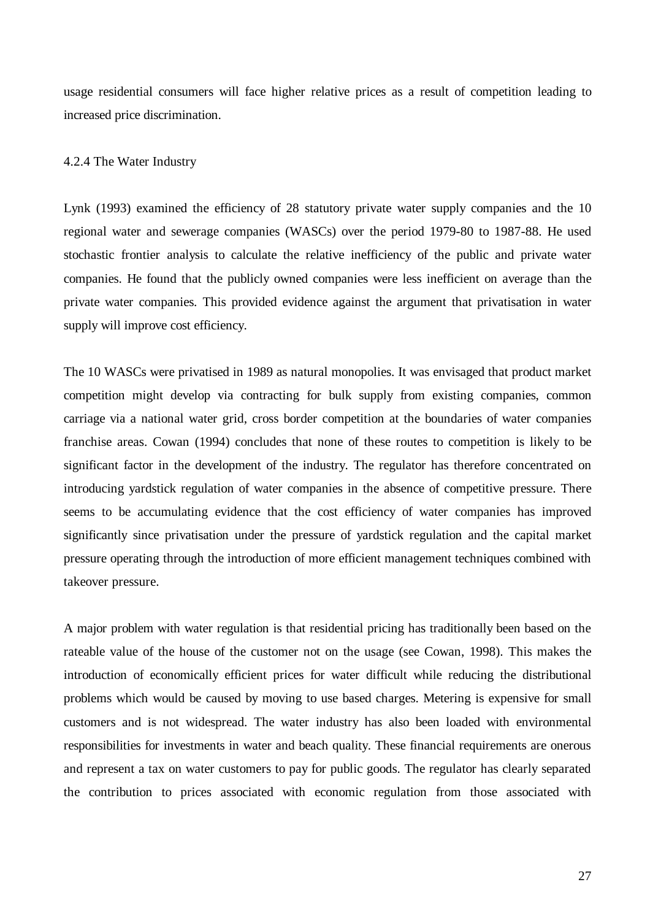usage residential consumers will face higher relative prices as a result of competition leading to increased price discrimination.

### 4.2.4 The Water Industry

Lynk (1993) examined the efficiency of 28 statutory private water supply companies and the 10 regional water and sewerage companies (WASCs) over the period 1979-80 to 1987-88. He used stochastic frontier analysis to calculate the relative inefficiency of the public and private water companies. He found that the publicly owned companies were less inefficient on average than the private water companies. This provided evidence against the argument that privatisation in water supply will improve cost efficiency.

The 10 WASCs were privatised in 1989 as natural monopolies. It was envisaged that product market competition might develop via contracting for bulk supply from existing companies, common carriage via a national water grid, cross border competition at the boundaries of water companies franchise areas. Cowan (1994) concludes that none of these routes to competition is likely to be significant factor in the development of the industry. The regulator has therefore concentrated on introducing yardstick regulation of water companies in the absence of competitive pressure. There seems to be accumulating evidence that the cost efficiency of water companies has improved significantly since privatisation under the pressure of yardstick regulation and the capital market pressure operating through the introduction of more efficient management techniques combined with takeover pressure.

A major problem with water regulation is that residential pricing has traditionally been based on the rateable value of the house of the customer not on the usage (see Cowan, 1998). This makes the introduction of economically efficient prices for water difficult while reducing the distributional problems which would be caused by moving to use based charges. Metering is expensive for small customers and is not widespread. The water industry has also been loaded with environmental responsibilities for investments in water and beach quality. These financial requirements are onerous and represent a tax on water customers to pay for public goods. The regulator has clearly separated the contribution to prices associated with economic regulation from those associated with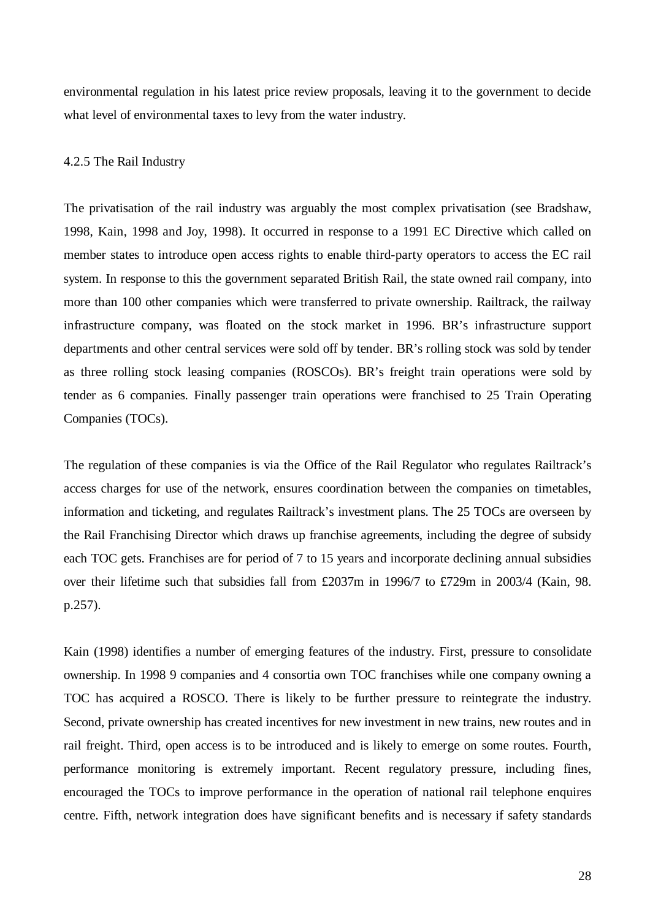environmental regulation in his latest price review proposals, leaving it to the government to decide what level of environmental taxes to levy from the water industry.

#### 4.2.5 The Rail Industry

The privatisation of the rail industry was arguably the most complex privatisation (see Bradshaw, 1998, Kain, 1998 and Joy, 1998). It occurred in response to a 1991 EC Directive which called on member states to introduce open access rights to enable third-party operators to access the EC rail system. In response to this the government separated British Rail, the state owned rail company, into more than 100 other companies which were transferred to private ownership. Railtrack, the railway infrastructure company, was floated on the stock market in 1996. BR's infrastructure support departments and other central services were sold off by tender. BR's rolling stock was sold by tender as three rolling stock leasing companies (ROSCOs). BR's freight train operations were sold by tender as 6 companies. Finally passenger train operations were franchised to 25 Train Operating Companies (TOCs).

The regulation of these companies is via the Office of the Rail Regulator who regulates Railtrack's access charges for use of the network, ensures coordination between the companies on timetables, information and ticketing, and regulates Railtrack's investment plans. The 25 TOCs are overseen by the Rail Franchising Director which draws up franchise agreements, including the degree of subsidy each TOC gets. Franchises are for period of 7 to 15 years and incorporate declining annual subsidies over their lifetime such that subsidies fall from £2037m in 1996/7 to £729m in 2003/4 (Kain, 98. p.257).

Kain (1998) identifies a number of emerging features of the industry. First, pressure to consolidate ownership. In 1998 9 companies and 4 consortia own TOC franchises while one company owning a TOC has acquired a ROSCO. There is likely to be further pressure to reintegrate the industry. Second, private ownership has created incentives for new investment in new trains, new routes and in rail freight. Third, open access is to be introduced and is likely to emerge on some routes. Fourth, performance monitoring is extremely important. Recent regulatory pressure, including fines, encouraged the TOCs to improve performance in the operation of national rail telephone enquires centre. Fifth, network integration does have significant benefits and is necessary if safety standards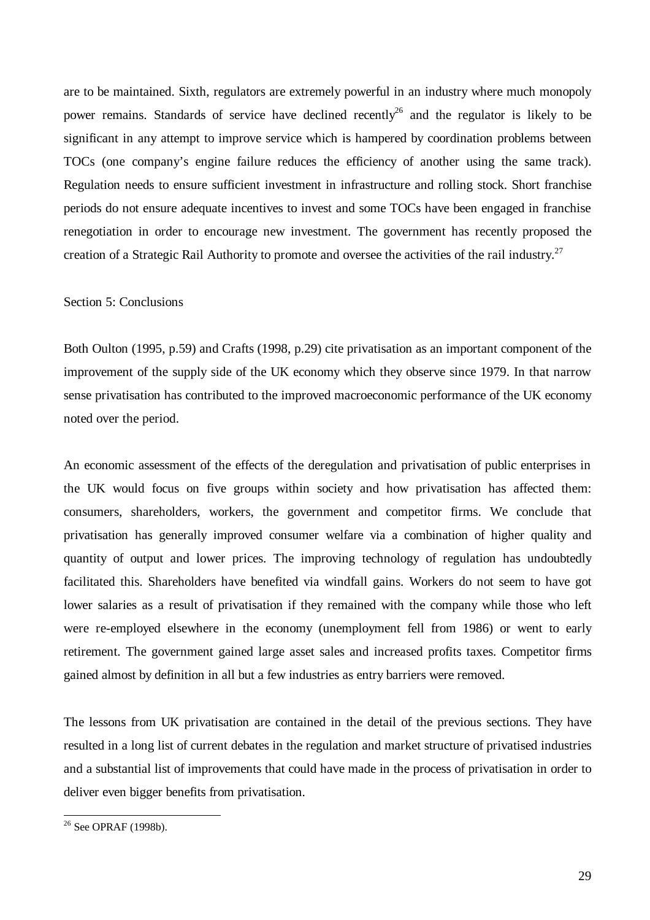are to be maintained. Sixth, regulators are extremely powerful in an industry where much monopoly power remains. Standards of service have declined recently<sup>26</sup> and the regulator is likely to be significant in any attempt to improve service which is hampered by coordination problems between TOCs (one company's engine failure reduces the efficiency of another using the same track). Regulation needs to ensure sufficient investment in infrastructure and rolling stock. Short franchise periods do not ensure adequate incentives to invest and some TOCs have been engaged in franchise renegotiation in order to encourage new investment. The government has recently proposed the creation of a Strategic Rail Authority to promote and oversee the activities of the rail industry.<sup>27</sup>

## Section 5: Conclusions

Both Oulton (1995, p.59) and Crafts (1998, p.29) cite privatisation as an important component of the improvement of the supply side of the UK economy which they observe since 1979. In that narrow sense privatisation has contributed to the improved macroeconomic performance of the UK economy noted over the period.

An economic assessment of the effects of the deregulation and privatisation of public enterprises in the UK would focus on five groups within society and how privatisation has affected them: consumers, shareholders, workers, the government and competitor firms. We conclude that privatisation has generally improved consumer welfare via a combination of higher quality and quantity of output and lower prices. The improving technology of regulation has undoubtedly facilitated this. Shareholders have benefited via windfall gains. Workers do not seem to have got lower salaries as a result of privatisation if they remained with the company while those who left were re-employed elsewhere in the economy (unemployment fell from 1986) or went to early retirement. The government gained large asset sales and increased profits taxes. Competitor firms gained almost by definition in all but a few industries as entry barriers were removed.

The lessons from UK privatisation are contained in the detail of the previous sections. They have resulted in a long list of current debates in the regulation and market structure of privatised industries and a substantial list of improvements that could have made in the process of privatisation in order to deliver even bigger benefits from privatisation.

l

<sup>26</sup> See OPRAF (1998b).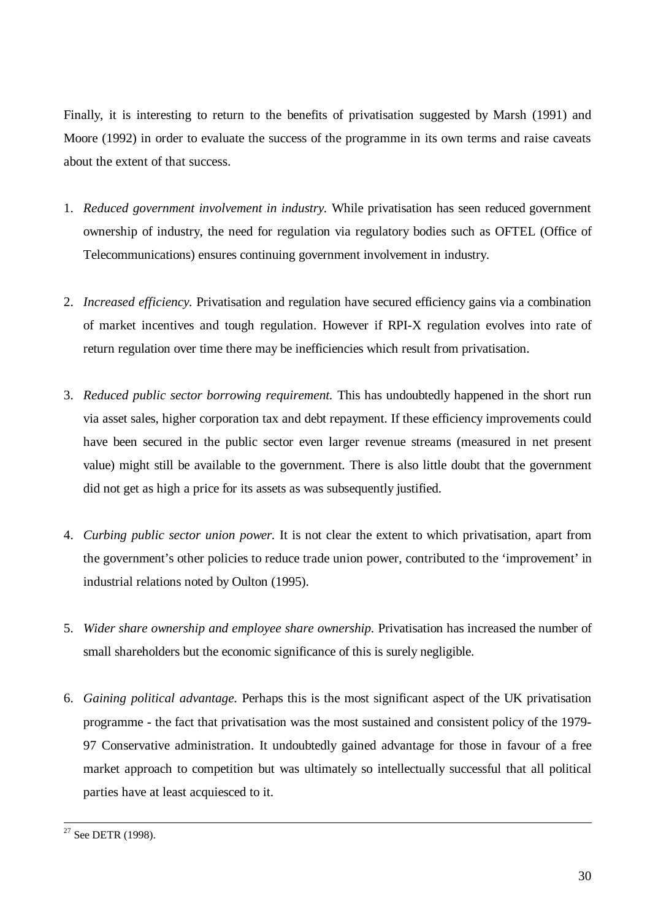Finally, it is interesting to return to the benefits of privatisation suggested by Marsh (1991) and Moore (1992) in order to evaluate the success of the programme in its own terms and raise caveats about the extent of that success.

- 1. *Reduced government involvement in industry.* While privatisation has seen reduced government ownership of industry, the need for regulation via regulatory bodies such as OFTEL (Office of Telecommunications) ensures continuing government involvement in industry.
- 2. *Increased efficiency.* Privatisation and regulation have secured efficiency gains via a combination of market incentives and tough regulation. However if RPI-X regulation evolves into rate of return regulation over time there may be inefficiencies which result from privatisation.
- 3. *Reduced public sector borrowing requirement.* This has undoubtedly happened in the short run via asset sales, higher corporation tax and debt repayment. If these efficiency improvements could have been secured in the public sector even larger revenue streams (measured in net present value) might still be available to the government. There is also little doubt that the government did not get as high a price for its assets as was subsequently justified.
- 4. *Curbing public sector union power.* It is not clear the extent to which privatisation, apart from the government's other policies to reduce trade union power, contributed to the 'improvement' in industrial relations noted by Oulton (1995).
- 5. *Wider share ownership and employee share ownership.* Privatisation has increased the number of small shareholders but the economic significance of this is surely negligible.
- 6. *Gaining political advantage.* Perhaps this is the most significant aspect of the UK privatisation programme - the fact that privatisation was the most sustained and consistent policy of the 1979- 97 Conservative administration. It undoubtedly gained advantage for those in favour of a free market approach to competition but was ultimately so intellectually successful that all political parties have at least acquiesced to it.

<sup>-</sup><sup>27</sup> See DETR (1998).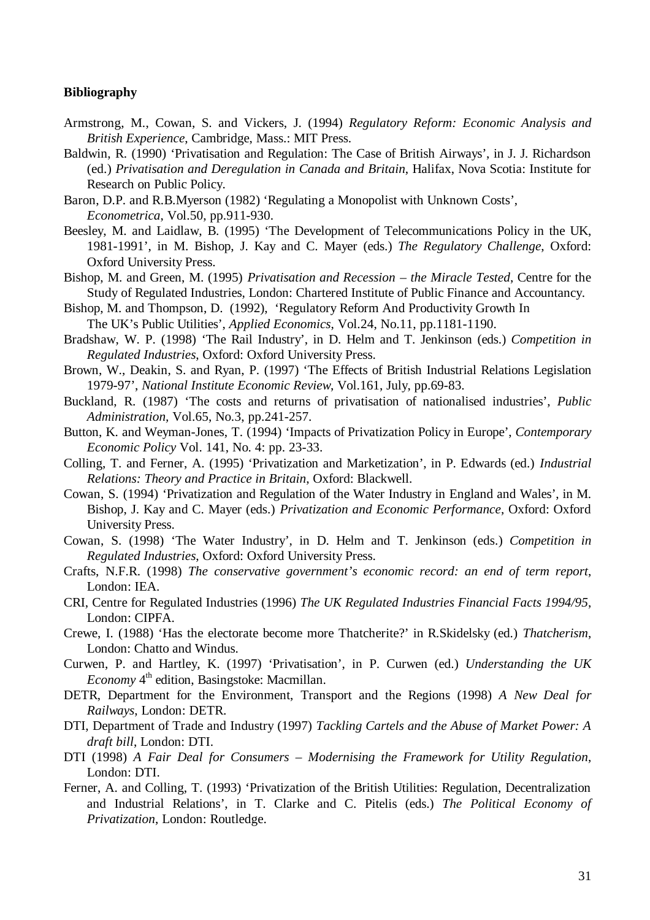## **Bibliography**

- Armstrong, M., Cowan, S. and Vickers, J. (1994) *Regulatory Reform: Economic Analysis and British Experience*, Cambridge, Mass.: MIT Press.
- Baldwin, R. (1990) 'Privatisation and Regulation: The Case of British Airways', in J. J. Richardson (ed.) *Privatisation and Deregulation in Canada and Britain*, Halifax, Nova Scotia: Institute for Research on Public Policy.
- Baron, D.P. and R.B.Myerson (1982) 'Regulating a Monopolist with Unknown Costs', *Econometrica*, Vol.50, pp.911-930.
- Beesley, M. and Laidlaw, B. (1995) 'The Development of Telecommunications Policy in the UK, 1981-1991', in M. Bishop, J. Kay and C. Mayer (eds.) *The Regulatory Challenge*, Oxford: Oxford University Press.
- Bishop, M. and Green, M. (1995) *Privatisation and Recession the Miracle Tested*, Centre for the Study of Regulated Industries, London: Chartered Institute of Public Finance and Accountancy.
- Bishop, M. and Thompson, D. (1992), 'Regulatory Reform And Productivity Growth In The UK's Public Utilities', *Applied Economics*, Vol.24, No.11, pp.1181-1190.
- Bradshaw, W. P. (1998) 'The Rail Industry', in D. Helm and T. Jenkinson (eds.) *Competition in Regulated Industries*, Oxford: Oxford University Press.
- Brown, W., Deakin, S. and Ryan, P. (1997) 'The Effects of British Industrial Relations Legislation 1979-97', *National Institute Economic Review*, Vol.161, July, pp.69-83.
- Buckland, R. (1987) 'The costs and returns of privatisation of nationalised industries', *Public Administration,* Vol.65, No.3, pp.241-257.
- Button, K. and Weyman-Jones, T. (1994) 'Impacts of Privatization Policy in Europe', *Contemporary Economic Policy* Vol. 141, No. 4: pp. 23-33.
- Colling, T. and Ferner, A. (1995) 'Privatization and Marketization', in P. Edwards (ed.) *Industrial Relations: Theory and Practice in Britain*, Oxford: Blackwell.
- Cowan, S. (1994) 'Privatization and Regulation of the Water Industry in England and Wales', in M. Bishop, J. Kay and C. Mayer (eds.) *Privatization and Economic Performance*, Oxford: Oxford University Press.
- Cowan, S. (1998) 'The Water Industry', in D. Helm and T. Jenkinson (eds.) *Competition in Regulated Industries*, Oxford: Oxford University Press.
- Crafts, N.F.R. (1998) *The conservative government's economic record: an end of term report*, London: IEA.
- CRI, Centre for Regulated Industries (1996) *The UK Regulated Industries Financial Facts 1994/95*, London: CIPFA.
- Crewe, I. (1988) 'Has the electorate become more Thatcherite?' in R.Skidelsky (ed.) *Thatcherism*, London: Chatto and Windus.
- Curwen, P. and Hartley, K. (1997) 'Privatisation', in P. Curwen (ed.) *Understanding the UK Economy* 4<sup>th</sup> edition, Basingstoke: Macmillan.
- DETR, Department for the Environment, Transport and the Regions (1998) *A New Deal for Railways*, London: DETR.
- DTI, Department of Trade and Industry (1997) *Tackling Cartels and the Abuse of Market Power: A draft bill*, London: DTI.
- DTI (1998) *A Fair Deal for Consumers Modernising the Framework for Utility Regulation*, London: DTI.
- Ferner, A. and Colling, T. (1993) 'Privatization of the British Utilities: Regulation, Decentralization and Industrial Relations', in T. Clarke and C. Pitelis (eds.) *The Political Economy of Privatization*, London: Routledge.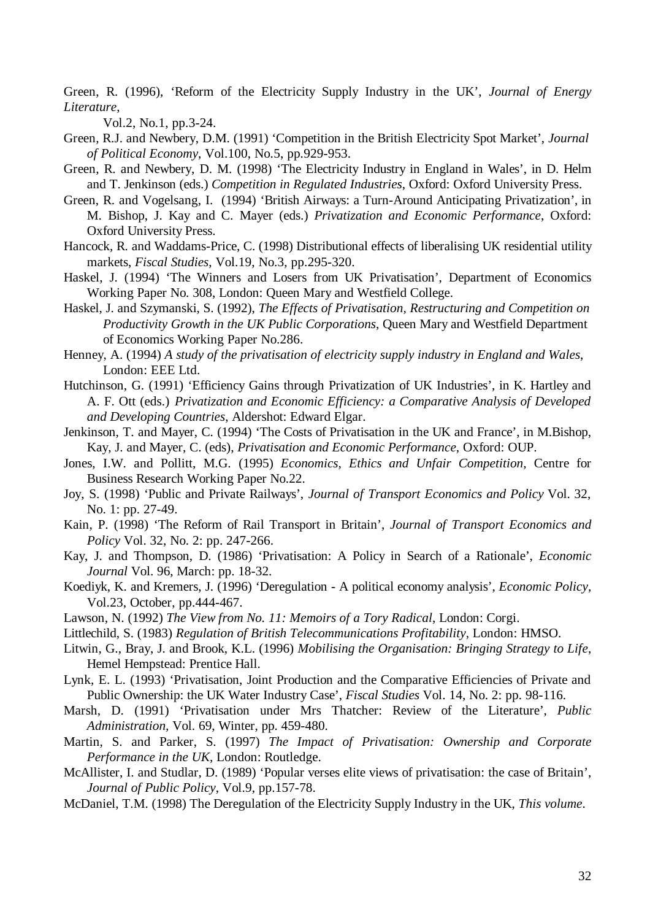Green, R. (1996), 'Reform of the Electricity Supply Industry in the UK', *Journal of Energy Literature*,

Vol.2, No.1, pp.3-24.

- Green, R.J. and Newbery, D.M. (1991) 'Competition in the British Electricity Spot Market', *Journal of Political Economy*, Vol.100, No.5, pp.929-953.
- Green, R. and Newbery, D. M. (1998) 'The Electricity Industry in England in Wales', in D. Helm and T. Jenkinson (eds.) *Competition in Regulated Industries*, Oxford: Oxford University Press.
- Green, R. and Vogelsang, I. (1994) 'British Airways: a Turn-Around Anticipating Privatization', in M. Bishop, J. Kay and C. Mayer (eds.) *Privatization and Economic Performance*, Oxford: Oxford University Press.
- Hancock, R. and Waddams-Price, C. (1998) Distributional effects of liberalising UK residential utility markets, *Fiscal Studies*, Vol.19, No.3, pp.295-320.
- Haskel, J. (1994) 'The Winners and Losers from UK Privatisation', Department of Economics Working Paper No. 308, London: Queen Mary and Westfield College.
- Haskel, J. and Szymanski, S. (1992), *The Effects of Privatisation, Restructuring and Competition on Productivity Growth in the UK Public Corporations*, Queen Mary and Westfield Department of Economics Working Paper No.286.
- Henney, A. (1994) *A study of the privatisation of electricity supply industry in England and Wales*, London: EEE Ltd.
- Hutchinson, G. (1991) 'Efficiency Gains through Privatization of UK Industries', in K. Hartley and A. F. Ott (eds.) *Privatization and Economic Efficiency: a Comparative Analysis of Developed and Developing Countries*, Aldershot: Edward Elgar.
- Jenkinson, T. and Mayer, C. (1994) 'The Costs of Privatisation in the UK and France', in M.Bishop, Kay, J. and Mayer, C. (eds), *Privatisation and Economic Performance*, Oxford: OUP.
- Jones, I.W. and Pollitt, M.G. (1995) *Economics, Ethics and Unfair Competition,* Centre for Business Research Working Paper No.22.
- Joy, S. (1998) 'Public and Private Railways', *Journal of Transport Economics and Policy* Vol. 32, No. 1: pp. 27-49.
- Kain, P. (1998) 'The Reform of Rail Transport in Britain', *Journal of Transport Economics and Policy* Vol. 32, No. 2: pp. 247-266.
- Kay, J. and Thompson, D. (1986) 'Privatisation: A Policy in Search of a Rationale', *Economic Journal* Vol. 96, March: pp. 18-32.
- Koediyk, K. and Kremers, J. (1996) 'Deregulation A political economy analysis', *Economic Policy,* Vol.23, October, pp.444-467.
- Lawson, N. (1992) *The View from No. 11: Memoirs of a Tory Radical*, London: Corgi.
- Littlechild, S. (1983) *Regulation of British Telecommunications Profitability*, London: HMSO.
- Litwin, G., Bray, J. and Brook, K.L. (1996) *Mobilising the Organisation: Bringing Strategy to Life*, Hemel Hempstead: Prentice Hall.
- Lynk, E. L. (1993) 'Privatisation, Joint Production and the Comparative Efficiencies of Private and Public Ownership: the UK Water Industry Case', *Fiscal Studies* Vol. 14, No. 2: pp. 98-116.
- Marsh, D. (1991) 'Privatisation under Mrs Thatcher: Review of the Literature', *Public Administration,* Vol. 69, Winter, pp. 459-480.
- Martin, S. and Parker, S. (1997) *The Impact of Privatisation: Ownership and Corporate Performance in the UK*, London: Routledge.
- McAllister, I. and Studlar, D. (1989) 'Popular verses elite views of privatisation: the case of Britain', *Journal of Public Policy,* Vol.9, pp.157-78.
- McDaniel, T.M. (1998) The Deregulation of the Electricity Supply Industry in the UK, *This volume*.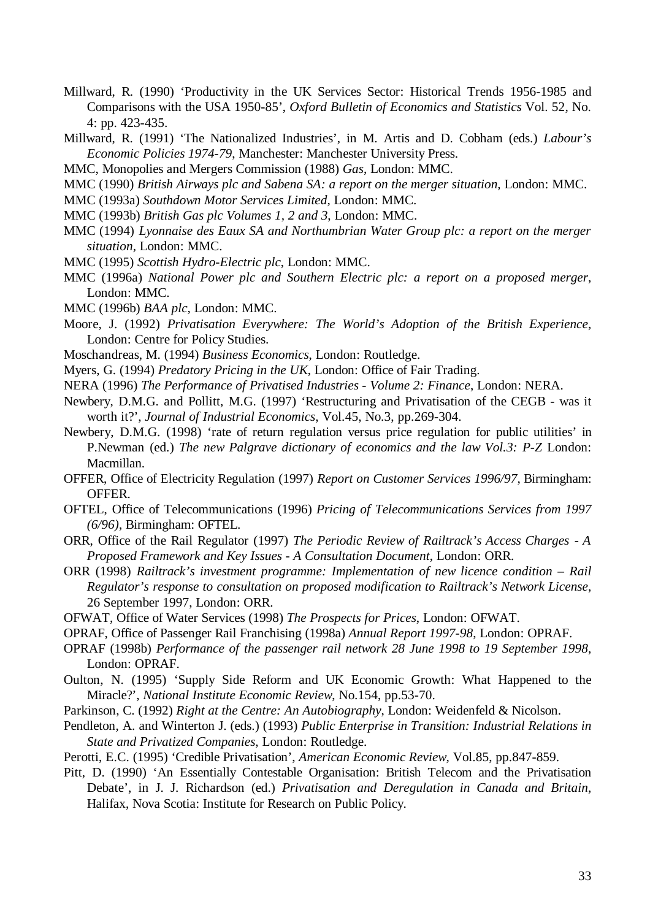- Millward, R. (1990) 'Productivity in the UK Services Sector: Historical Trends 1956-1985 and Comparisons with the USA 1950-85', *Oxford Bulletin of Economics and Statistics* Vol. 52, No. 4: pp. 423-435.
- Millward, R. (1991) 'The Nationalized Industries', in M. Artis and D. Cobham (eds.) *Labour's Economic Policies 1974-79*, Manchester: Manchester University Press.
- MMC, Monopolies and Mergers Commission (1988) *Gas*, London: MMC.
- MMC (1990) *British Airways plc and Sabena SA: a report on the merger situation*, London: MMC.
- MMC (1993a) *Southdown Motor Services Limited*, London: MMC.
- MMC (1993b) *British Gas plc Volumes 1, 2 and 3*, London: MMC.
- MMC (1994) *Lyonnaise des Eaux SA and Northumbrian Water Group plc: a report on the merger situation,* London: MMC.
- MMC (1995) *Scottish Hydro-Electric plc*, London: MMC.
- MMC (1996a) *National Power plc and Southern Electric plc: a report on a proposed merger*, London: MMC.
- MMC (1996b) *BAA plc*, London: MMC.
- Moore, J. (1992) *Privatisation Everywhere: The World's Adoption of the British Experience*, London: Centre for Policy Studies.
- Moschandreas, M. (1994) *Business Economics*, London: Routledge.
- Myers, G. (1994) *Predatory Pricing in the UK*, London: Office of Fair Trading.
- NERA (1996) *The Performance of Privatised Industries Volume 2: Finance*, London: NERA.
- Newbery, D.M.G. and Pollitt, M.G. (1997) 'Restructuring and Privatisation of the CEGB was it worth it?', *Journal of Industrial Economics*, Vol.45, No.3, pp.269-304.
- Newbery, D.M.G. (1998) 'rate of return regulation versus price regulation for public utilities' in P.Newman (ed.) *The new Palgrave dictionary of economics and the law Vol.3: P-Z London:* Macmillan.
- OFFER, Office of Electricity Regulation (1997) *Report on Customer Services 1996/97*, Birmingham: OFFER.
- OFTEL, Office of Telecommunications (1996) *Pricing of Telecommunications Services from 1997 (6/96)*, Birmingham: OFTEL.
- ORR, Office of the Rail Regulator (1997) *The Periodic Review of Railtrack's Access Charges A Proposed Framework and Key Issues - A Consultation Document*, London: ORR.
- ORR (1998) *Railtrack's investment programme: Implementation of new licence condition Rail Regulator's response to consultation on proposed modification to Railtrack's Network License*, 26 September 1997, London: ORR.
- OFWAT, Office of Water Services (1998) *The Prospects for Prices*, London: OFWAT.
- OPRAF, Office of Passenger Rail Franchising (1998a) *Annual Report 1997-98*, London: OPRAF.
- OPRAF (1998b) *Performance of the passenger rail network 28 June 1998 to 19 September 1998*, London: OPRAF.
- Oulton, N. (1995) 'Supply Side Reform and UK Economic Growth: What Happened to the Miracle?', *National Institute Economic Review*, No.154, pp.53-70.
- Parkinson, C. (1992) *Right at the Centre: An Autobiography*, London: Weidenfeld & Nicolson.
- Pendleton, A. and Winterton J. (eds.) (1993) *Public Enterprise in Transition: Industrial Relations in State and Privatized Companies*, London: Routledge.
- Perotti, E.C. (1995) 'Credible Privatisation', *American Economic Review*, Vol.85, pp.847-859.
- Pitt, D. (1990) 'An Essentially Contestable Organisation: British Telecom and the Privatisation Debate', in J. J. Richardson (ed.) *Privatisation and Deregulation in Canada and Britain*, Halifax, Nova Scotia: Institute for Research on Public Policy.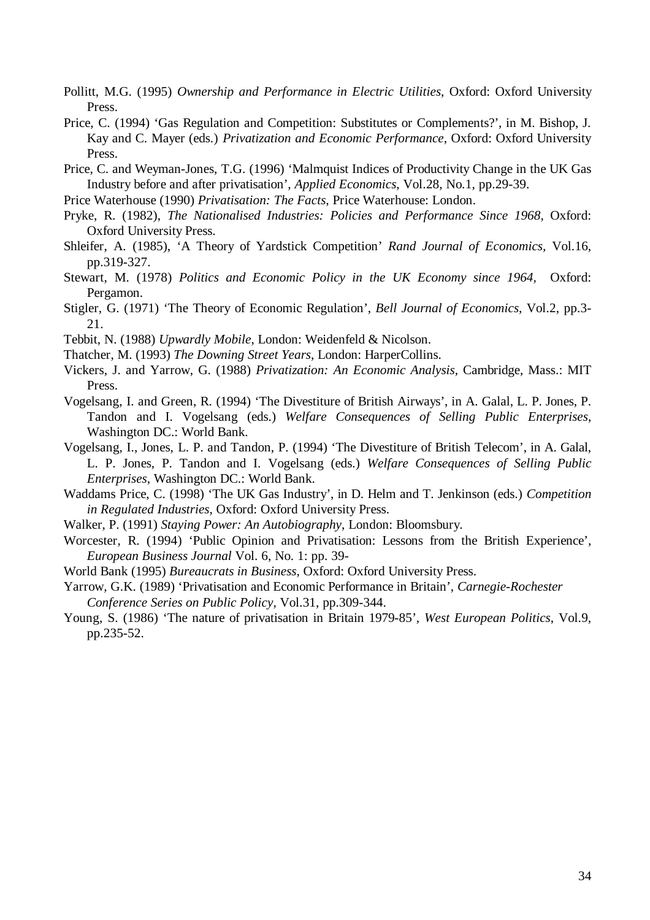- Pollitt, M.G. (1995) *Ownership and Performance in Electric Utilities*, Oxford: Oxford University Press.
- Price, C. (1994) 'Gas Regulation and Competition: Substitutes or Complements?', in M. Bishop, J. Kay and C. Mayer (eds.) *Privatization and Economic Performance*, Oxford: Oxford University Press.
- Price, C. and Weyman-Jones, T.G. (1996) 'Malmquist Indices of Productivity Change in the UK Gas Industry before and after privatisation', *Applied Economics*, Vol.28, No.1, pp.29-39.
- Price Waterhouse (1990) *Privatisation: The Facts*, Price Waterhouse: London.
- Pryke, R. (1982), *The Nationalised Industries: Policies and Performance Since 1968,* Oxford: Oxford University Press.
- Shleifer, A. (1985), 'A Theory of Yardstick Competition' *Rand Journal of Economics,* Vol.16, pp.319-327.
- Stewart, M. (1978) *Politics and Economic Policy in the UK Economy since 1964,* Oxford: Pergamon.
- Stigler, G. (1971) 'The Theory of Economic Regulation', *Bell Journal of Economics*, Vol.2, pp.3- 21.
- Tebbit, N. (1988) *Upwardly Mobile*, London: Weidenfeld & Nicolson.
- Thatcher, M. (1993) *The Downing Street Years*, London: HarperCollins.
- Vickers, J. and Yarrow, G. (1988) *Privatization: An Economic Analysis*, Cambridge, Mass.: MIT Press.
- Vogelsang, I. and Green, R. (1994) 'The Divestiture of British Airways', in A. Galal, L. P. Jones, P. Tandon and I. Vogelsang (eds.) *Welfare Consequences of Selling Public Enterprises*, Washington DC.: World Bank.
- Vogelsang, I., Jones, L. P. and Tandon, P. (1994) 'The Divestiture of British Telecom', in A. Galal, L. P. Jones, P. Tandon and I. Vogelsang (eds.) *Welfare Consequences of Selling Public Enterprises*, Washington DC.: World Bank.
- Waddams Price, C. (1998) 'The UK Gas Industry', in D. Helm and T. Jenkinson (eds.) *Competition in Regulated Industries*, Oxford: Oxford University Press.
- Walker, P. (1991) *Staying Power: An Autobiography*, London: Bloomsbury.
- Worcester, R. (1994) 'Public Opinion and Privatisation: Lessons from the British Experience', *European Business Journal* Vol. 6, No. 1: pp. 39-
- World Bank (1995) *Bureaucrats in Business*, Oxford: Oxford University Press.
- Yarrow, G.K. (1989) 'Privatisation and Economic Performance in Britain', *Carnegie-Rochester Conference Series on Public Policy,* Vol.31, pp.309-344.
- Young, S. (1986) 'The nature of privatisation in Britain 1979-85', *West European Politics*, Vol.9, pp.235-52.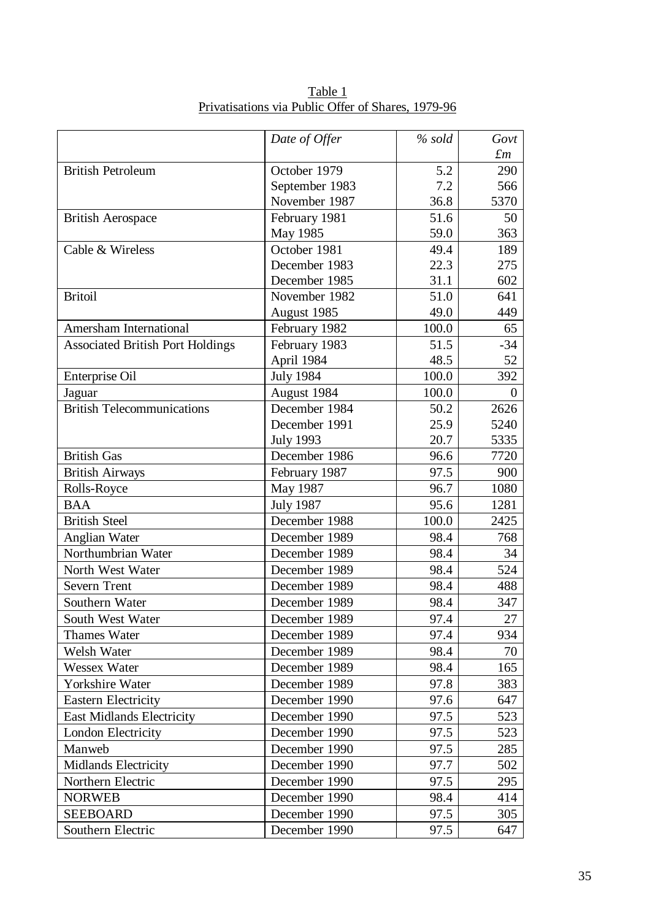|                                         | Date of Offer    | $%$ sold | Govt        |
|-----------------------------------------|------------------|----------|-------------|
|                                         |                  |          | $\pounds m$ |
| <b>British Petroleum</b>                | October 1979     | 5.2      | 290         |
|                                         | September 1983   | 7.2      | 566         |
|                                         | November 1987    | 36.8     | 5370        |
| <b>British Aerospace</b>                | February 1981    | 51.6     | 50          |
|                                         | May 1985         | 59.0     | 363         |
| Cable & Wireless                        | October 1981     | 49.4     | 189         |
|                                         | December 1983    | 22.3     | 275         |
|                                         | December 1985    | 31.1     | 602         |
| <b>Britoil</b>                          | November 1982    | 51.0     | 641         |
|                                         | August 1985      | 49.0     | 449         |
| Amersham International                  | February 1982    | 100.0    | 65          |
| <b>Associated British Port Holdings</b> | February 1983    | 51.5     | $-34$       |
|                                         | April 1984       | 48.5     | 52          |
| Enterprise Oil                          | <b>July 1984</b> | 100.0    | 392         |
| Jaguar                                  | August 1984      | 100.0    | $\theta$    |
| <b>British Telecommunications</b>       | December 1984    | 50.2     | 2626        |
|                                         | December 1991    | 25.9     | 5240        |
|                                         | <b>July 1993</b> | 20.7     | 5335        |
| <b>British Gas</b>                      | December 1986    | 96.6     | 7720        |
| <b>British Airways</b>                  | February 1987    | 97.5     | 900         |
| Rolls-Royce                             | May 1987         | 96.7     | 1080        |
| <b>BAA</b>                              | <b>July 1987</b> | 95.6     | 1281        |
| <b>British Steel</b>                    | December 1988    | 100.0    | 2425        |
| Anglian Water                           | December 1989    | 98.4     | 768         |
| Northumbrian Water                      | December 1989    | 98.4     | 34          |
| North West Water                        | December 1989    | 98.4     | 524         |
| <b>Severn Trent</b>                     | December 1989    | 98.4     | 488         |
| Southern Water                          | December 1989    | 98.4     | 347         |
| South West Water                        | December 1989    | 97.4     | 27          |
| <b>Thames Water</b>                     | December 1989    | 97.4     | 934         |
| Welsh Water                             | December 1989    | 98.4     | 70          |
| Wessex Water                            | December 1989    | 98.4     | 165         |
| Yorkshire Water                         | December 1989    | 97.8     | 383         |
| <b>Eastern Electricity</b>              | December 1990    | 97.6     | 647         |
| <b>East Midlands Electricity</b>        | December 1990    | 97.5     | 523         |
| London Electricity                      | December 1990    | 97.5     | 523         |
| Manweb                                  | December 1990    | 97.5     | 285         |
| Midlands Electricity                    | December 1990    | 97.7     | 502         |
| Northern Electric                       | December 1990    | 97.5     | 295         |
| <b>NORWEB</b>                           | December 1990    | 98.4     | 414         |
| <b>SEEBOARD</b>                         | December 1990    | 97.5     | 305         |
| Southern Electric                       | December 1990    | 97.5     | 647         |

Table 1 Privatisations via Public Offer of Shares, 1979-96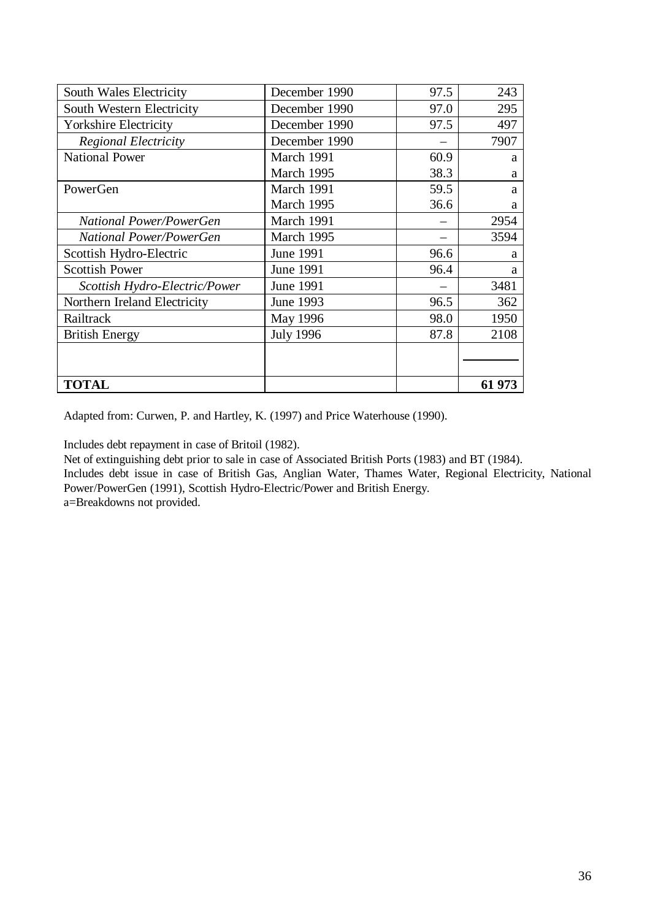| South Wales Electricity        | December 1990    | 97.5 | 243    |
|--------------------------------|------------------|------|--------|
| South Western Electricity      | December 1990    | 97.0 | 295    |
| <b>Yorkshire Electricity</b>   | December 1990    | 97.5 | 497    |
| <b>Regional Electricity</b>    | December 1990    |      | 7907   |
| <b>National Power</b>          | March 1991       | 60.9 | a      |
|                                | March 1995       | 38.3 | a      |
| PowerGen                       | March 1991       | 59.5 | a      |
|                                | March 1995       | 36.6 | a      |
| <b>National Power/PowerGen</b> | March 1991       |      | 2954   |
| National Power/PowerGen        | March 1995       |      | 3594   |
| Scottish Hydro-Electric        | June 1991        | 96.6 | a      |
| <b>Scottish Power</b>          | June 1991        | 96.4 | a      |
| Scottish Hydro-Electric/Power  | June 1991        |      | 3481   |
| Northern Ireland Electricity   | June 1993        | 96.5 | 362    |
| Railtrack                      | May 1996         | 98.0 | 1950   |
| <b>British Energy</b>          | <b>July 1996</b> | 87.8 | 2108   |
|                                |                  |      |        |
|                                |                  |      |        |
| <b>TOTAL</b>                   |                  |      | 61 973 |

Adapted from: Curwen, P. and Hartley, K. (1997) and Price Waterhouse (1990).

Includes debt repayment in case of Britoil (1982).

Net of extinguishing debt prior to sale in case of Associated British Ports (1983) and BT (1984).

Includes debt issue in case of British Gas, Anglian Water, Thames Water, Regional Electricity, National Power/PowerGen (1991), Scottish Hydro-Electric/Power and British Energy.

a=Breakdowns not provided.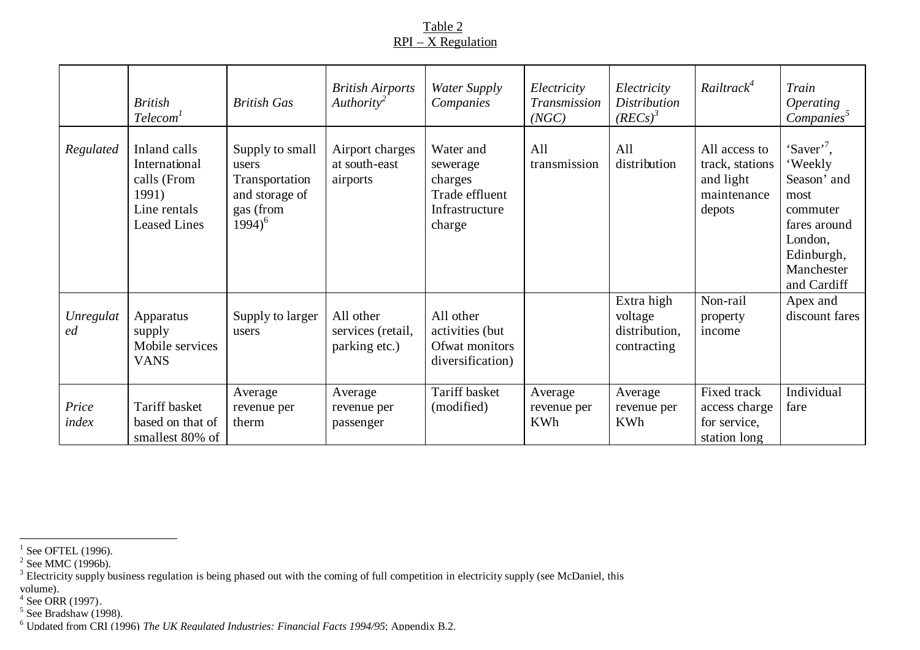# Table 2 RPI – X Regulation

|                 | <b>British</b><br>Telecom <sup>1</sup>                                                       | <b>British Gas</b>                                                                     | <b>British Airports</b><br>$\mu$ Authority <sup>2</sup> | <b>Water Supply</b><br>Companies                                               | Electricity<br>Transmission<br>(NGC) | Electricity<br><b>Distribution</b><br>$(REG)^3$       | Railtrack <sup>4</sup>                                                 | Train<br><i><b>Operating</b></i><br>Companies <sup>5</sup>                                                                                 |
|-----------------|----------------------------------------------------------------------------------------------|----------------------------------------------------------------------------------------|---------------------------------------------------------|--------------------------------------------------------------------------------|--------------------------------------|-------------------------------------------------------|------------------------------------------------------------------------|--------------------------------------------------------------------------------------------------------------------------------------------|
| Regulated       | Inland calls<br>International<br>calls (From<br>1991)<br>Line rentals<br><b>Leased Lines</b> | Supply to small<br>users<br>Transportation<br>and storage of<br>gas (from<br>$1994)^6$ | Airport charges<br>at south-east<br>airports            | Water and<br>sewerage<br>charges<br>Trade effluent<br>Infrastructure<br>charge | All<br>transmission                  | All<br>distribution                                   | All access to<br>track, stations<br>and light<br>maintenance<br>depots | 'Saver' <sup>7</sup> ,<br>'Weekly<br>Season' and<br>most<br>commuter<br>fares around<br>London,<br>Edinburgh,<br>Manchester<br>and Cardiff |
| Unregulat<br>ed | Apparatus<br>supply<br>Mobile services<br><b>VANS</b>                                        | Supply to larger<br>users                                                              | All other<br>services (retail,<br>parking etc.)         | All other<br>activities (but<br>Ofwat monitors<br>diversification)             |                                      | Extra high<br>voltage<br>distribution,<br>contracting | Non-rail<br>property<br>income                                         | Apex and<br>discount fares                                                                                                                 |
| Price<br>index  | Tariff basket<br>based on that of<br>smallest 80% of                                         | Average<br>revenue per<br>therm                                                        | Average<br>revenue per<br>passenger                     | Tariff basket<br>(modified)                                                    | Average<br>revenue per<br><b>KWh</b> | Average<br>revenue per<br><b>KWh</b>                  | Fixed track<br>access charge<br>for service,<br>station long           | Individual<br>fare                                                                                                                         |

<sup>&</sup>lt;sup>1</sup> See OFTEL (1996).<br><sup>2</sup> See MMC (1996b).<br><sup>3</sup> Electricity supply business regulation is being phased out with the coming of full competition in electricity supply (see McDaniel, this

volume).<br><sup>4</sup> See ORR (1997).<br><sup>5</sup> See Bradshaw (1998).<br><sup>6</sup> Updated from CRI (1996) *The UK Regulated Industries: Financial Facts 1994/95*; Appendix B.2.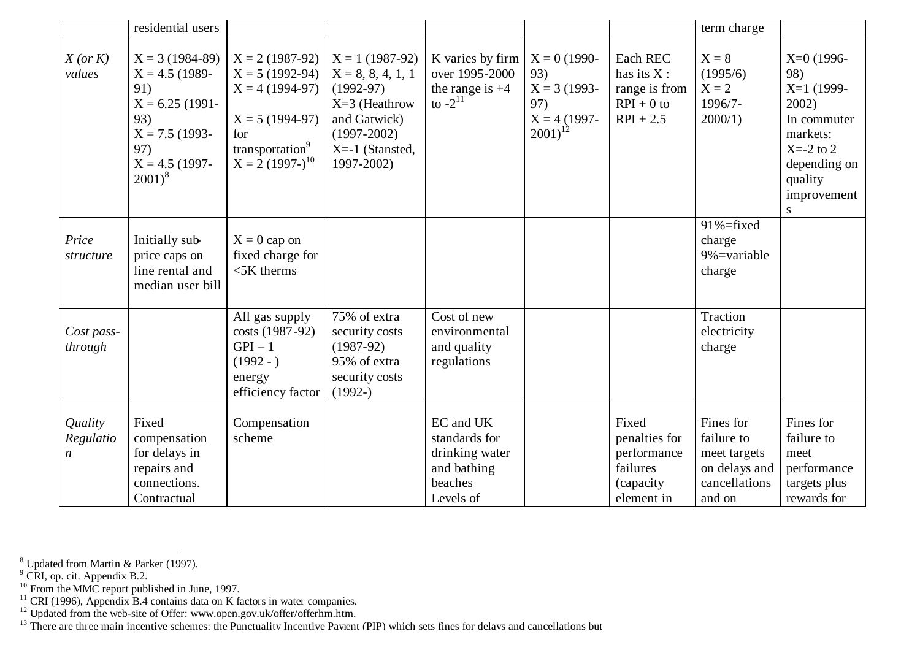|                                          | residential users                                                                                                                   |                                                                                                                                           |                                                                                                                                                 |                                                                                     |                                                                                  |                                                                               | term charge                                                                         |                                                                                                                                       |
|------------------------------------------|-------------------------------------------------------------------------------------------------------------------------------------|-------------------------------------------------------------------------------------------------------------------------------------------|-------------------------------------------------------------------------------------------------------------------------------------------------|-------------------------------------------------------------------------------------|----------------------------------------------------------------------------------|-------------------------------------------------------------------------------|-------------------------------------------------------------------------------------|---------------------------------------------------------------------------------------------------------------------------------------|
| $X$ (or $K$ )<br>values                  | $X = 3(1984-89)$<br>$X = 4.5$ (1989-<br>91)<br>$X = 6.25$ (1991-<br>93)<br>$X = 7.5$ (1993-<br>97)<br>$X = 4.5$ (1997-<br>$2001)^8$ | $X = 2(1987-92)$<br>$X = 5(1992-94)$<br>$X = 4(1994-97)$<br>$X = 5(1994-97)$<br>for<br>transportation <sup>9</sup><br>$X = 2(1997-)^{10}$ | $X = 1(1987-92)$<br>$X = 8, 8, 4, 1, 1$<br>$(1992-97)$<br>$X=3$ (Heathrow<br>and Gatwick)<br>$(1997-2002)$<br>$X = -1$ (Stansted,<br>1997-2002) | K varies by firm<br>over 1995-2000<br>the range is $+4$<br>to $-2^{11}$             | $X = 0(1990 -$<br>93)<br>$X = 3(1993 -$<br>97)<br>$X = 4(1997 -$<br>$2001)^{12}$ | Each REC<br>has its $X$ :<br>range is from<br>$RPI + 0$ to<br>$RPI + 2.5$     | $X = 8$<br>(1995/6)<br>$X = 2$<br>1996/7-<br>$2000/1$ )                             | $X=0$ (1996-<br>98)<br>$X=1$ (1999-<br>2002)<br>In commuter<br>markets:<br>$X=-2$ to 2<br>depending on<br>quality<br>improvement<br>S |
| Price<br>structure                       | Initially sub-<br>price caps on<br>line rental and<br>median user bill                                                              | $X = 0$ cap on<br>fixed charge for<br>$5K$ therms                                                                                         |                                                                                                                                                 |                                                                                     |                                                                                  |                                                                               | $91\% = fixed$<br>charge<br>$9\%$ =variable<br>charge                               |                                                                                                                                       |
| Cost pass-<br>through                    |                                                                                                                                     | All gas supply<br>costs (1987-92)<br>$GPI-1$<br>$(1992 - )$<br>energy<br>efficiency factor                                                | 75% of extra<br>security costs<br>$(1987-92)$<br>95% of extra<br>security costs<br>$(1992-)$                                                    | Cost of new<br>environmental<br>and quality<br>regulations                          |                                                                                  |                                                                               | Traction<br>electricity<br>charge                                                   |                                                                                                                                       |
| Quality<br>Regulatio<br>$\boldsymbol{n}$ | Fixed<br>compensation<br>for delays in<br>repairs and<br>connections.<br>Contractual                                                | Compensation<br>scheme                                                                                                                    |                                                                                                                                                 | EC and UK<br>standards for<br>drinking water<br>and bathing<br>beaches<br>Levels of |                                                                                  | Fixed<br>penalties for<br>performance<br>failures<br>(capacity)<br>element in | Fines for<br>failure to<br>meet targets<br>on delays and<br>cancellations<br>and on | Fines for<br>failure to<br>meet<br>performance<br>targets plus<br>rewards for                                                         |

<sup>&</sup>lt;sup>8</sup> Updated from Martin & Parker (1997).<br><sup>9</sup> CRI, op. cit. Appendix B.2.

<sup>&</sup>lt;sup>10</sup> From the MMC report published in June, 1997.

 $11$  CRI (1996), Appendix B.4 contains data on K factors in water companies.

 $12$  Updated from the web-site of Offer: www.open.gov.uk/offer/offerhm.htm.

<sup>&</sup>lt;sup>13</sup> There are three main incentive schemes: the Punctuality Incentive Payment (PIP) which sets fines for delays and cancellations but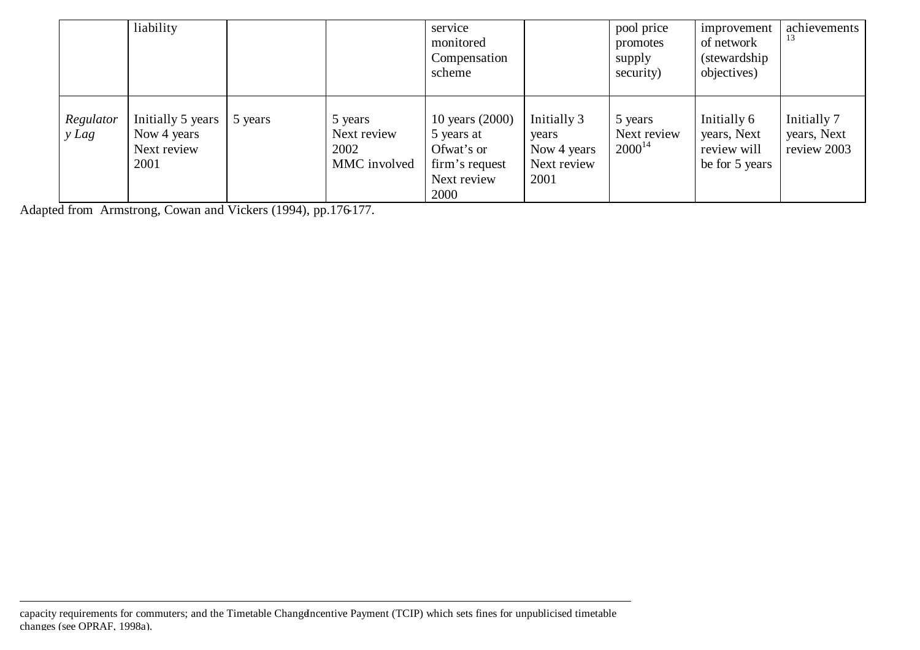|                      | liability                                               |         |                                                | service<br>monitored<br>Compensation<br>scheme                                       |                                                            | pool price<br>promotes<br>supply<br>security) | improvement<br>of network<br>(stewardship)<br>objectives)   | achievements<br>13                        |
|----------------------|---------------------------------------------------------|---------|------------------------------------------------|--------------------------------------------------------------------------------------|------------------------------------------------------------|-----------------------------------------------|-------------------------------------------------------------|-------------------------------------------|
| Regulator<br>$y$ Lag | Initially 5 years<br>Now 4 years<br>Next review<br>2001 | 5 years | 5 years<br>Next review<br>2002<br>MMC involved | 10 years (2000)<br>5 years at<br>Ofwat's or<br>firm's request<br>Next review<br>2000 | Initially 3<br>years<br>Now 4 years<br>Next review<br>2001 | 5 years<br>Next review<br>$2000^{14}$         | Initially 6<br>years, Next<br>review will<br>be for 5 years | Initially 7<br>years, Next<br>review 2003 |

Adapted from Armstrong, Cowan and Vickers (1994), pp.176-177.

l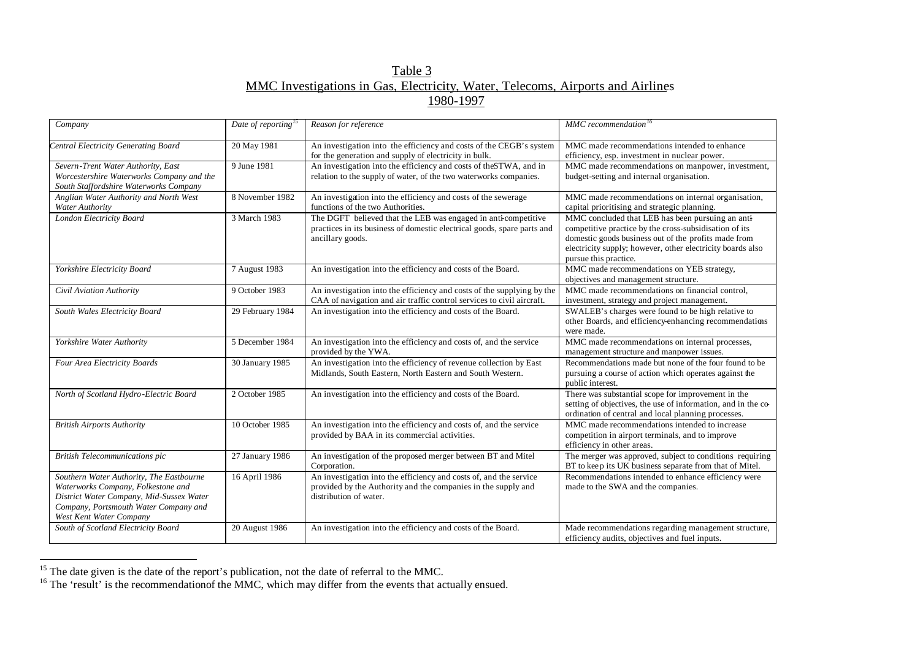# Table 3 MMC Investigations in Gas, Electricity, Water, Telecoms, Airports and Airlines 1980-1997

| Company                                                                                                                                                                                        | Date of reporting <sup>15</sup> | Reason for reference                                                                                                                                          | MMC recommendation <sup>16</sup>                                                                                                                                                                                                                           |
|------------------------------------------------------------------------------------------------------------------------------------------------------------------------------------------------|---------------------------------|---------------------------------------------------------------------------------------------------------------------------------------------------------------|------------------------------------------------------------------------------------------------------------------------------------------------------------------------------------------------------------------------------------------------------------|
| Central Electricity Generating Board                                                                                                                                                           | 20 May 1981                     | An investigation into the efficiency and costs of the CEGB's system<br>for the generation and supply of electricity in bulk.                                  | MMC made recommendations intended to enhance<br>efficiency, esp. investment in nuclear power.                                                                                                                                                              |
| Severn-Trent Water Authority, East<br>Worcestershire Waterworks Company and the<br>South Staffordshire Waterworks Company                                                                      | 9 June 1981                     | An investigation into the efficiency and costs of the STWA, and in<br>relation to the supply of water, of the two waterworks companies.                       | MMC made recommendations on manpower, investment,<br>budget-setting and internal organisation.                                                                                                                                                             |
| Anglian Water Authority and North West<br>Water Authority                                                                                                                                      | 8 November 1982                 | An investigation into the efficiency and costs of the sewerage<br>functions of the two Authorities.                                                           | MMC made recommendations on internal organisation,<br>capital prioritising and strategic planning.                                                                                                                                                         |
| London Electricity Board                                                                                                                                                                       | 3 March 1983                    | The DGFT believed that the LEB was engaged in anti-competitive<br>practices in its business of domestic electrical goods, spare parts and<br>ancillary goods. | MMC concluded that LEB has been pursuing an anti-<br>competitive practice by the cross-subsidisation of its<br>domestic goods business out of the profits made from<br>electricity supply; however, other electricity boards also<br>pursue this practice. |
| Yorkshire Electricity Board                                                                                                                                                                    | 7 August 1983                   | An investigation into the efficiency and costs of the Board.                                                                                                  | MMC made recommendations on YEB strategy,<br>objectives and management structure.                                                                                                                                                                          |
| Civil Aviation Authority                                                                                                                                                                       | 9 October 1983                  | An investigation into the efficiency and costs of the supplying by the<br>CAA of navigation and air traffic control services to civil aircraft.               | MMC made recommendations on financial control,<br>investment, strategy and project management.                                                                                                                                                             |
| South Wales Electricity Board                                                                                                                                                                  | 29 February 1984                | An investigation into the efficiency and costs of the Board.                                                                                                  | SWALEB's charges were found to be high relative to<br>other Boards, and efficiency-enhancing recommendations<br>were made.                                                                                                                                 |
| Yorkshire Water Authority                                                                                                                                                                      | 5 December 1984                 | An investigation into the efficiency and costs of, and the service<br>provided by the YWA.                                                                    | MMC made recommendations on internal processes,<br>management structure and manpower issues.                                                                                                                                                               |
| Four Area Electricity Boards                                                                                                                                                                   | 30 January 1985                 | An investigation into the efficiency of revenue collection by East<br>Midlands, South Eastern, North Eastern and South Western.                               | Recommendations made but none of the four found to be<br>pursuing a course of action which operates against the<br>public interest.                                                                                                                        |
| North of Scotland Hydro-Electric Board                                                                                                                                                         | 2 October 1985                  | An investigation into the efficiency and costs of the Board.                                                                                                  | There was substantial scope for improvement in the<br>setting of objectives, the use of information, and in the co-<br>ordination of central and local planning processes.                                                                                 |
| <b>British Airports Authority</b>                                                                                                                                                              | 10 October 1985                 | An investigation into the efficiency and costs of, and the service<br>provided by BAA in its commercial activities.                                           | MMC made recommendations intended to increase<br>competition in airport terminals, and to improve<br>efficiency in other areas.                                                                                                                            |
| <b>British Telecommunications plc</b>                                                                                                                                                          | 27 January 1986                 | An investigation of the proposed merger between BT and Mitel<br>Corporation.                                                                                  | The merger was approved, subject to conditions requiring<br>BT to keep its UK business separate from that of Mitel.                                                                                                                                        |
| Southern Water Authority, The Eastbourne<br>Waterworks Company, Folkestone and<br>District Water Company, Mid-Sussex Water<br>Company, Portsmouth Water Company and<br>West Kent Water Company | 16 April 1986                   | An investigation into the efficiency and costs of, and the service<br>provided by the Authority and the companies in the supply and<br>distribution of water. | Recommendations intended to enhance efficiency were<br>made to the SWA and the companies.                                                                                                                                                                  |
| South of Scotland Electricity Board                                                                                                                                                            | 20 August 1986                  | An investigation into the efficiency and costs of the Board.                                                                                                  | Made recommendations regarding management structure,<br>efficiency audits, objectives and fuel inputs.                                                                                                                                                     |

 $15$  The date given is the date of the report's publication, not the date of referral to the MMC.

l

 $16$  The 'result' is the recommendation of the MMC, which may differ from the events that actually ensued.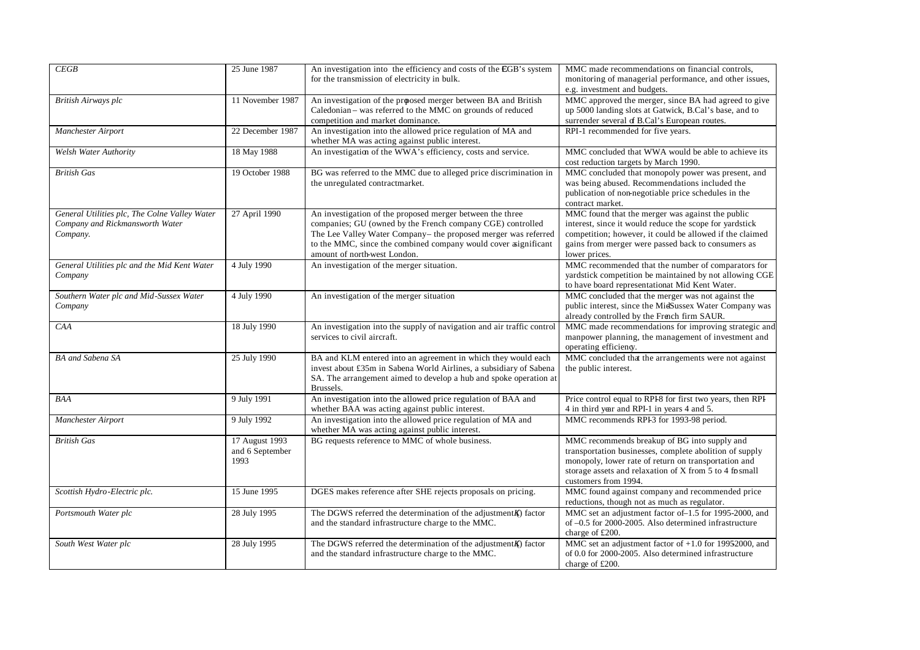| CEGB                                                                                         | 25 June 1987                              | An investigation into the efficiency and costs of the EGB's system<br>for the transmission of electricity in bulk.                                                                                                                                                                          | MMC made recommendations on financial controls,<br>monitoring of managerial performance, and other issues,<br>e.g. investment and budgets.                                                                                                        |
|----------------------------------------------------------------------------------------------|-------------------------------------------|---------------------------------------------------------------------------------------------------------------------------------------------------------------------------------------------------------------------------------------------------------------------------------------------|---------------------------------------------------------------------------------------------------------------------------------------------------------------------------------------------------------------------------------------------------|
| British Airways plc                                                                          | 11 November 1987                          | An investigation of the proosed merger between BA and British<br>Caledonian - was referred to the MMC on grounds of reduced<br>competition and market dominance.                                                                                                                            | MMC approved the merger, since BA had agreed to give<br>up 5000 landing slots at Gatwick, B.Cal's base, and to<br>surrender several of B.Cal's European routes.                                                                                   |
| Manchester Airport                                                                           | 22 December 1987                          | An investigation into the allowed price regulation of MA and<br>whether MA was acting against public interest.                                                                                                                                                                              | RPI-1 recommended for five years.                                                                                                                                                                                                                 |
| Welsh Water Authority                                                                        | 18 May 1988                               | An investigation of the WWA's efficiency, costs and service.                                                                                                                                                                                                                                | MMC concluded that WWA would be able to achieve its<br>cost reduction targets by March 1990.                                                                                                                                                      |
| <b>British Gas</b>                                                                           | 19 October 1988                           | BG was referred to the MMC due to alleged price discrimination in<br>the unregulated contractmarket.                                                                                                                                                                                        | MMC concluded that monopoly power was present, and<br>was being abused. Recommendations included the<br>publication of non-negotiable price schedules in the<br>contract market.                                                                  |
| General Utilities plc, The Colne Valley Water<br>Company and Rickmansworth Water<br>Company. | 27 April 1990                             | An investigation of the proposed merger between the three<br>companies; GU (owned by the French company CGE) controlled<br>The Lee Valley Water Company- the proposed merger was referred<br>to the MMC, since the combined company would cover aignificant<br>amount of north-west London. | MMC found that the merger was against the public<br>interest, since it would reduce the scope for yardstick<br>competition; however, it could be allowed if the claimed<br>gains from merger were passed back to consumers as<br>lower prices.    |
| General Utilities plc and the Mid Kent Water<br>Company                                      | 4 July 1990                               | An investigation of the merger situation.                                                                                                                                                                                                                                                   | MMC recommended that the number of comparators for<br>vardstick competition be maintained by not allowing CGE<br>to have board representationat Mid Kent Water.                                                                                   |
| Southern Water plc and Mid-Sussex Water<br>Company                                           | 4 July 1990                               | An investigation of the merger situation                                                                                                                                                                                                                                                    | MMC concluded that the merger was not against the<br>public interest, since the MidSussex Water Company was<br>already controlled by the French firm SAUR.                                                                                        |
| CAA                                                                                          | 18 July 1990                              | An investigation into the supply of navigation and air traffic control<br>services to civil aircraft.                                                                                                                                                                                       | MMC made recommendations for improving strategic and<br>manpower planning, the management of investment and<br>operating efficiency.                                                                                                              |
| BA and Sabena SA                                                                             | 25 July 1990                              | BA and KLM entered into an agreement in which they would each<br>invest about £35m in Sabena World Airlines, a subsidiary of Sabena<br>SA. The arrangement aimed to develop a hub and spoke operation at<br>Brussels.                                                                       | MMC concluded that the arrangements were not against<br>the public interest.                                                                                                                                                                      |
| <b>BAA</b>                                                                                   | 9 July 1991                               | An investigation into the allowed price regulation of BAA and<br>whether BAA was acting against public interest.                                                                                                                                                                            | Price control equal to RPI8 for first two years, then RPI<br>4 in third year and RPI-1 in years 4 and 5.                                                                                                                                          |
| Manchester Airport                                                                           | 9 July 1992                               | An investigation into the allowed price regulation of MA and<br>whether MA was acting against public interest.                                                                                                                                                                              | MMC recommends RPI-3 for 1993-98 period.                                                                                                                                                                                                          |
| <b>British Gas</b>                                                                           | 17 August 1993<br>and 6 September<br>1993 | BG requests reference to MMC of whole business.                                                                                                                                                                                                                                             | MMC recommends breakup of BG into supply and<br>transportation businesses, complete abolition of supply<br>monopoly, lower rate of return on transportation and<br>storage assets and relaxation of X from 5 to 4 formall<br>customers from 1994. |
| Scottish Hydro-Electric plc.                                                                 | 15 June 1995                              | DGES makes reference after SHE rejects proposals on pricing.                                                                                                                                                                                                                                | MMC found against company and recommended price<br>reductions, though not as much as regulator.                                                                                                                                                   |
| Portsmouth Water plc                                                                         | 28 July 1995                              | The DGWS referred the determination of the adjustment $K$ ) factor<br>and the standard infrastructure charge to the MMC.                                                                                                                                                                    | MMC set an adjustment factor of -1.5 for 1995-2000, and<br>of -0.5 for 2000-2005. Also determined infrastructure<br>charge of £200.                                                                                                               |
| South West Water plc                                                                         | 28 July 1995                              | The DGWS referred the determination of the adjustment $K$ ) factor<br>and the standard infrastructure charge to the MMC.                                                                                                                                                                    | MMC set an adjustment factor of $+1.0$ for 19952000, and<br>of 0.0 for 2000-2005. Also determined infrastructure<br>charge of £200.                                                                                                               |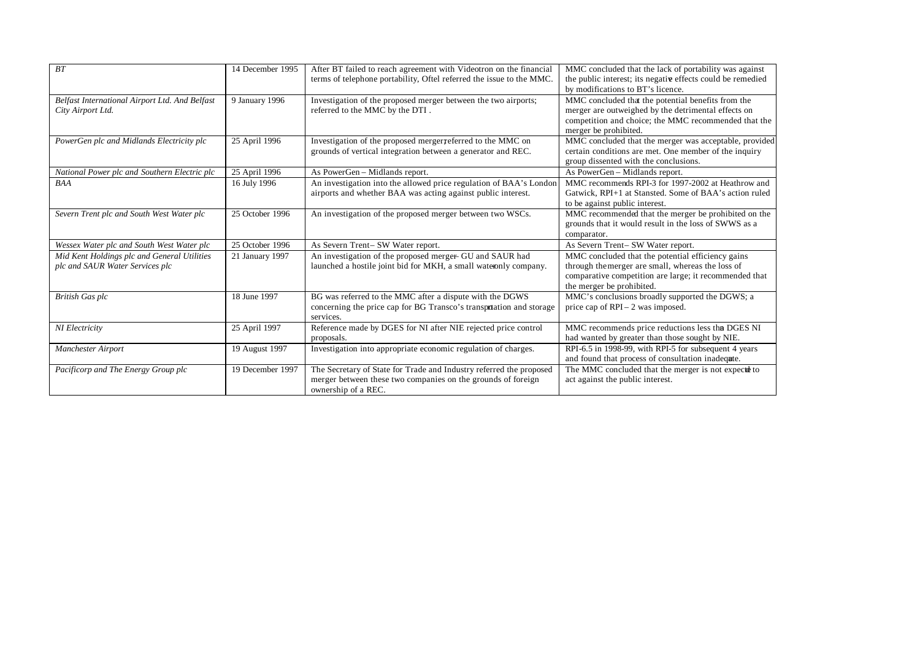| BT                                                                             | 14 December 1995 | After BT failed to reach agreement with Videotron on the financial<br>terms of telephone portability, Oftel referred the issue to the MMC.                 | MMC concluded that the lack of portability was against<br>the public interest; its negative effects could be remedied<br>by modifications to BT's licence.                                    |
|--------------------------------------------------------------------------------|------------------|------------------------------------------------------------------------------------------------------------------------------------------------------------|-----------------------------------------------------------------------------------------------------------------------------------------------------------------------------------------------|
| Belfast International Airport Ltd. And Belfast<br>City Airport Ltd.            | 9 January 1996   | Investigation of the proposed merger between the two airports;<br>referred to the MMC by the DTI.                                                          | MMC concluded that the potential benefits from the<br>merger are outweighed by the detrimental effects on<br>competition and choice; the MMC recommended that the<br>merger be prohibited.    |
| PowerGen plc and Midlands Electricity plc                                      | 25 April 1996    | Investigation of the proposed merger referred to the MMC on<br>grounds of vertical integration between a generator and REC.                                | MMC concluded that the merger was acceptable, provided<br>certain conditions are met. One member of the inquiry<br>group dissented with the conclusions.                                      |
| National Power plc and Southern Electric plc                                   | 25 April 1996    | As PowerGen - Midlands report.                                                                                                                             | As PowerGen - Midlands report.                                                                                                                                                                |
| <b>BAA</b>                                                                     | 16 July 1996     | An investigation into the allowed price regulation of BAA's London<br>airports and whether BAA was acting against public interest.                         | MMC recommends RPI-3 for 1997-2002 at Heathrow and<br>Gatwick, RPI+1 at Stansted. Some of BAA's action ruled<br>to be against public interest.                                                |
| Severn Trent plc and South West Water plc                                      | 25 October 1996  | An investigation of the proposed merger between two WSCs.                                                                                                  | MMC recommended that the merger be prohibited on the<br>grounds that it would result in the loss of SWWS as a<br>comparator.                                                                  |
| Wessex Water plc and South West Water plc                                      | 25 October 1996  | As Severn Trent- SW Water report.                                                                                                                          | As Severn Trent- SW Water report.                                                                                                                                                             |
| Mid Kent Holdings plc and General Utilities<br>plc and SAUR Water Services plc | 21 January 1997  | An investigation of the proposed merger- GU and SAUR had<br>launched a hostile joint bid for MKH, a small water only company.                              | MMC concluded that the potential efficiency gains<br>through the merger are small, whereas the loss of<br>comparative competition are large; it recommended that<br>the merger be prohibited. |
| <b>British Gas plc</b>                                                         | 18 June 1997     | BG was referred to the MMC after a dispute with the DGWS<br>concerning the price cap for BG Transco's transpotation and storage<br>services.               | MMC's conclusions broadly supported the DGWS; a<br>price cap of $RPI - 2$ was imposed.                                                                                                        |
| NI Electricity                                                                 | 25 April 1997    | Reference made by DGES for NI after NIE rejected price control<br>proposals.                                                                               | MMC recommends price reductions less tha DGES NI<br>had wanted by greater than those sought by NIE.                                                                                           |
| Manchester Airport                                                             | 19 August 1997   | Investigation into appropriate economic regulation of charges.                                                                                             | RPI-6.5 in 1998-99, with RPI-5 for subsequent 4 years<br>and found that process of consultation inadequte.                                                                                    |
| Pacificorp and The Energy Group plc                                            | 19 December 1997 | The Secretary of State for Trade and Industry referred the proposed<br>merger between these two companies on the grounds of foreign<br>ownership of a REC. | The MMC concluded that the merger is not expectd to<br>act against the public interest.                                                                                                       |